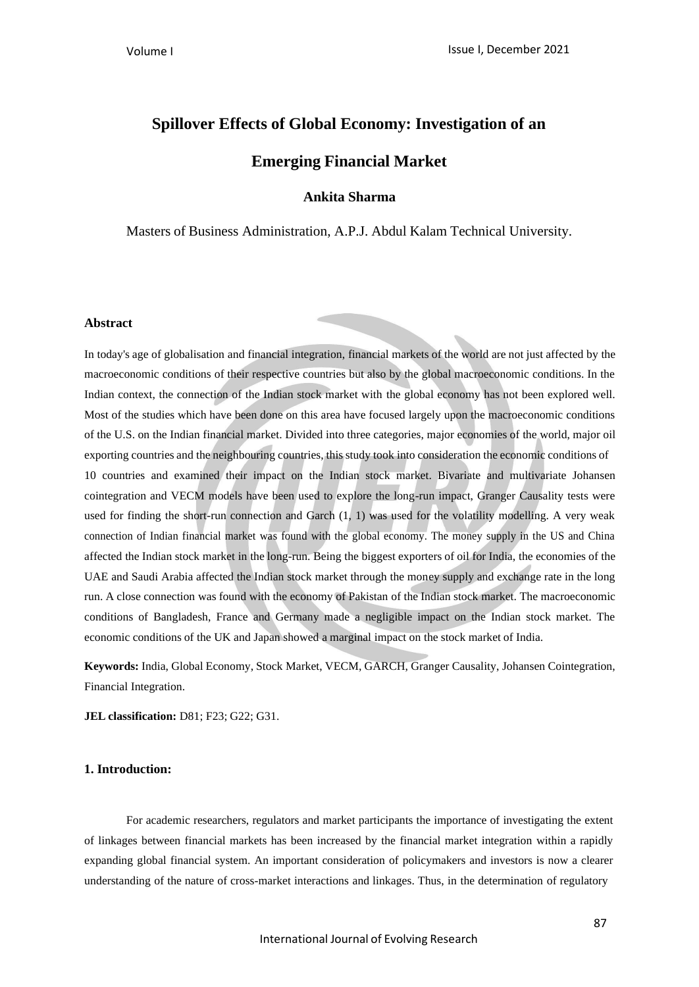# **Spillover Effects of Global Economy: Investigation of an**

# **Emerging Financial Market**

**Ankita Sharma**

Masters of Business Administration, A.P.J. Abdul Kalam Technical University.

### **Abstract**

In today's age of globalisation and financial integration, financial markets of the world are not just affected by the macroeconomic conditions of their respective countries but also by the global macroeconomic conditions. In the Indian context, the connection of the Indian stock market with the global economy has not been explored well. Most of the studies which have been done on this area have focused largely upon the macroeconomic conditions of the U.S. on the Indian financial market. Divided into three categories, major economies of the world, major oil exporting countries and the neighbouring countries, thisstudy took into consideration the economic conditions of 10 countries and examined their impact on the Indian stock market. Bivariate and multivariate Johansen cointegration and VECM models have been used to explore the long-run impact, Granger Causality tests were used for finding the short-run connection and Garch (1, 1) was used for the volatility modelling. A very weak connection of Indian financial market was found with the global economy. The money supply in the US and China affected the Indian stock market in the long-run. Being the biggest exporters of oil for India, the economies of the UAE and Saudi Arabia affected the Indian stock market through the money supply and exchange rate in the long run. A close connection was found with the economy of Pakistan of the Indian stock market. The macroeconomic conditions of Bangladesh, France and Germany made a negligible impact on the Indian stock market. The economic conditions of the UK and Japan showed a marginal impact on the stock market of India.

**Keywords:** India, Global Economy, Stock Market, VECM, GARCH, Granger Causality, Johansen Cointegration, Financial Integration.

**JEL classification:** D81; F23; G22; G31.

### **1. Introduction:**

For academic researchers, regulators and market participants the importance of investigating the extent of linkages between financial markets has been increased by the financial market integration within a rapidly expanding global financial system. An important consideration of policymakers and investors is now a clearer understanding of the nature of cross-market interactions and linkages. Thus, in the determination of regulatory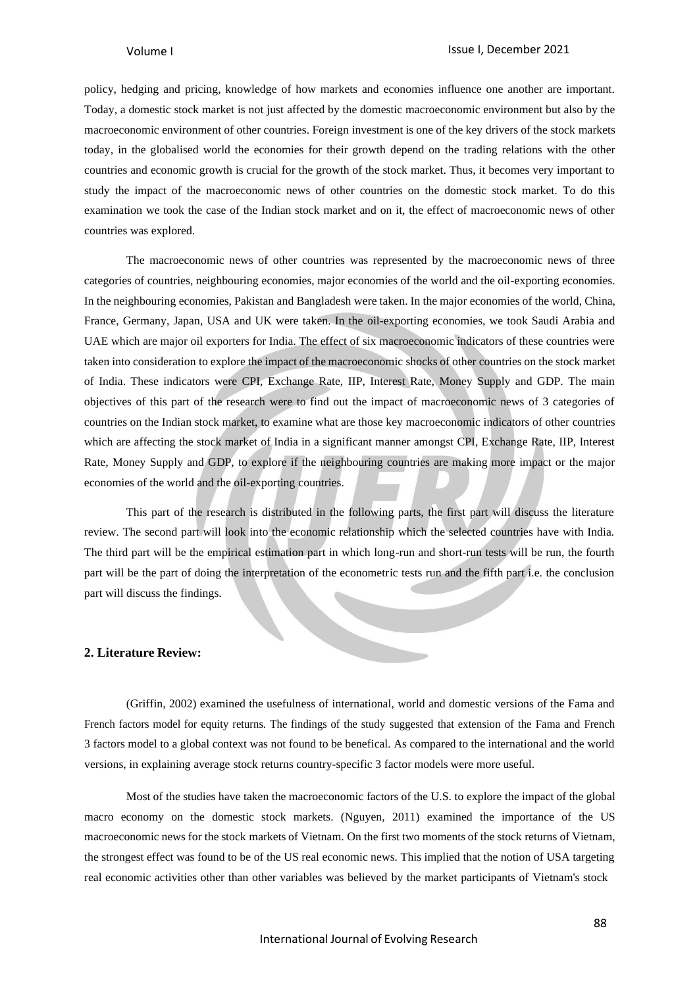policy, hedging and pricing, knowledge of how markets and economies influence one another are important. Today, a domestic stock market is not just affected by the domestic macroeconomic environment but also by the macroeconomic environment of other countries. Foreign investment is one of the key drivers of the stock markets today, in the globalised world the economies for their growth depend on the trading relations with the other countries and economic growth is crucial for the growth of the stock market. Thus, it becomes very important to study the impact of the macroeconomic news of other countries on the domestic stock market. To do this examination we took the case of the Indian stock market and on it, the effect of macroeconomic news of other countries was explored.

The macroeconomic news of other countries was represented by the macroeconomic news of three categories of countries, neighbouring economies, major economies of the world and the oil-exporting economies. In the neighbouring economies, Pakistan and Bangladesh were taken. In the major economies of the world, China, France, Germany, Japan, USA and UK were taken. In the oil-exporting economies, we took Saudi Arabia and UAE which are major oil exporters for India. The effect of six macroeconomic indicators of these countries were taken into consideration to explore the impact of the macroeconomic shocks of other countries on the stock market of India. These indicators were CPI, Exchange Rate, IIP, Interest Rate, Money Supply and GDP. The main objectives of this part of the research were to find out the impact of macroeconomic news of 3 categories of countries on the Indian stock market, to examine what are those key macroeconomic indicators of other countries which are affecting the stock market of India in a significant manner amongst CPI, Exchange Rate, IIP, Interest Rate, Money Supply and GDP, to explore if the neighbouring countries are making more impact or the major economies of the world and the oil-exporting countries.

This part of the research is distributed in the following parts, the first part will discuss the literature review. The second part will look into the economic relationship which the selected countries have with India. The third part will be the empirical estimation part in which long-run and short-run tests will be run, the fourth part will be the part of doing the interpretation of the econometric tests run and the fifth part i.e. the conclusion part will discuss the findings.

### **2. Literature Review:**

(Griffin, 2002) examined the usefulness of international, world and domestic versions of the Fama and French factors model for equity returns. The findings of the study suggested that extension of the Fama and French 3 factors model to a global context was not found to be benefical. As compared to the international and the world versions, in explaining average stock returns country-specific 3 factor models were more useful.

Most of the studies have taken the macroeconomic factors of the U.S. to explore the impact of the global macro economy on the domestic stock markets. (Nguyen, 2011) examined the importance of the US macroeconomic news for the stock markets of Vietnam. On the first two moments of the stock returns of Vietnam, the strongest effect was found to be of the US real economic news. This implied that the notion of USA targeting real economic activities other than other variables was believed by the market participants of Vietnam's stock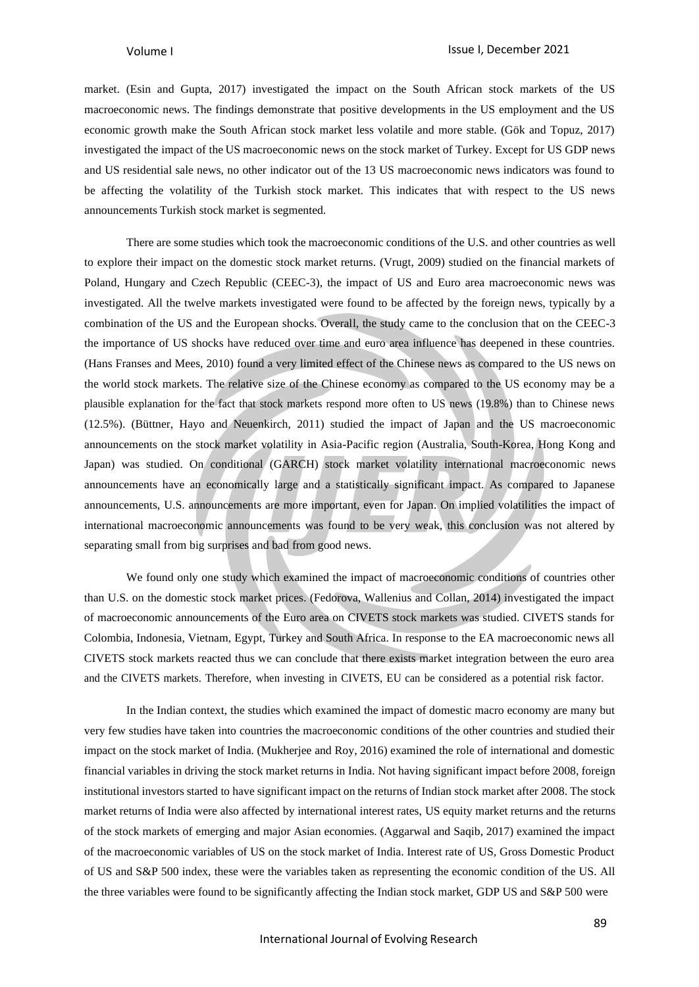market. (Esin and Gupta, 2017) investigated the impact on the South African stock markets of the US macroeconomic news. The findings demonstrate that positive developments in the US employment and the US economic growth make the South African stock market less volatile and more stable. (Gök and Topuz, 2017) investigated the impact of the US macroeconomic news on the stock market of Turkey. Except for US GDP news and US residential sale news, no other indicator out of the 13 US macroeconomic news indicators was found to be affecting the volatility of the Turkish stock market. This indicates that with respect to the US news announcements Turkish stock market is segmented.

There are some studies which took the macroeconomic conditions of the U.S. and other countries as well to explore their impact on the domestic stock market returns. (Vrugt, 2009) studied on the financial markets of Poland, Hungary and Czech Republic (CEEC-3), the impact of US and Euro area macroeconomic news was investigated. All the twelve markets investigated were found to be affected by the foreign news, typically by a combination of the US and the European shocks. Overall, the study came to the conclusion that on the CEEC-3 the importance of US shocks have reduced over time and euro area influence has deepened in these countries. (Hans Franses and Mees, 2010) found a very limited effect of the Chinese news as compared to the US news on the world stock markets. The relative size of the Chinese economy as compared to the US economy may be a plausible explanation for the fact that stock markets respond more often to US news (19.8%) than to Chinese news (12.5%). (Büttner, Hayo and Neuenkirch, 2011) studied the impact of Japan and the US macroeconomic announcements on the stock market volatility in Asia-Pacific region (Australia, South-Korea, Hong Kong and Japan) was studied. On conditional (GARCH) stock market volatility international macroeconomic news announcements have an economically large and a statistically significant impact. As compared to Japanese announcements, U.S. announcements are more important, even for Japan. On implied volatilities the impact of international macroeconomic announcements was found to be very weak, this conclusion was not altered by separating small from big surprises and bad from good news.

We found only one study which examined the impact of macroeconomic conditions of countries other than U.S. on the domestic stock market prices. (Fedorova, Wallenius and Collan, 2014) investigated the impact of macroeconomic announcements of the Euro area on CIVETS stock markets was studied. CIVETS stands for Colombia, Indonesia, Vietnam, Egypt, Turkey and South Africa. In response to the EA macroeconomic news all CIVETS stock markets reacted thus we can conclude that there exists market integration between the euro area and the CIVETS markets. Therefore, when investing in CIVETS, EU can be considered as a potential risk factor.

In the Indian context, the studies which examined the impact of domestic macro economy are many but very few studies have taken into countries the macroeconomic conditions of the other countries and studied their impact on the stock market of India. (Mukherjee and Roy, 2016) examined the role of international and domestic financial variables in driving the stock market returns in India. Not having significant impact before 2008, foreign institutional investors started to have significant impact on the returns of Indian stock market after 2008. The stock market returns of India were also affected by international interest rates, US equity market returns and the returns of the stock markets of emerging and major Asian economies. (Aggarwal and Saqib, 2017) examined the impact of the macroeconomic variables of US on the stock market of India. Interest rate of US, Gross Domestic Product of US and S&P 500 index, these were the variables taken as representing the economic condition of the US. All the three variables were found to be significantly affecting the Indian stock market, GDP US and S&P 500 were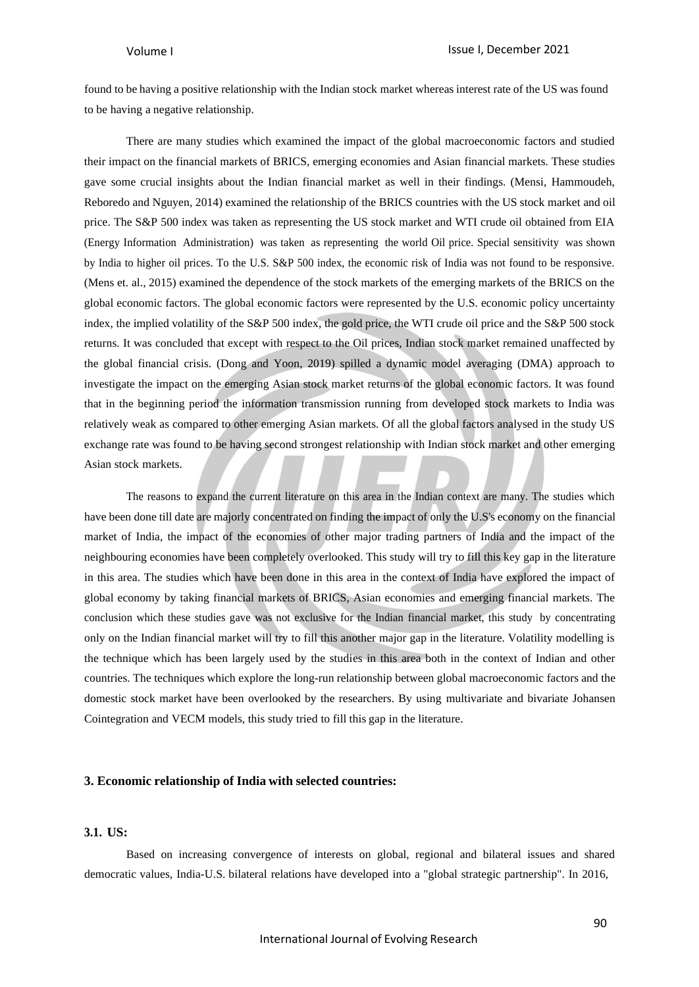found to be having a positive relationship with the Indian stock market whereas interest rate of the US was found to be having a negative relationship.

There are many studies which examined the impact of the global macroeconomic factors and studied their impact on the financial markets of BRICS, emerging economies and Asian financial markets. These studies gave some crucial insights about the Indian financial market as well in their findings. (Mensi, Hammoudeh, Reboredo and Nguyen, 2014) examined the relationship of the BRICS countries with the US stock market and oil price. The S&P 500 index was taken as representing the US stock market and WTI crude oil obtained from EIA (Energy Information Administration) was taken as representing the world Oil price. Special sensitivity was shown by India to higher oil prices. To the U.S. S&P 500 index, the economic risk of India was not found to be responsive. (Mens et. al., 2015) examined the dependence of the stock markets of the emerging markets of the BRICS on the global economic factors. The global economic factors were represented by the U.S. economic policy uncertainty index, the implied volatility of the S&P 500 index, the gold price, the WTI crude oil price and the S&P 500 stock returns. It was concluded that except with respect to the Oil prices, Indian stock market remained unaffected by the global financial crisis. (Dong and Yoon, 2019) spilled a dynamic model averaging (DMA) approach to investigate the impact on the emerging Asian stock market returns of the global economic factors. It was found that in the beginning period the information transmission running from developed stock markets to India was relatively weak as compared to other emerging Asian markets. Of all the global factors analysed in the study US exchange rate was found to be having second strongest relationship with Indian stock market and other emerging Asian stock markets.

The reasons to expand the current literature on this area in the Indian context are many. The studies which have been done till date are majorly concentrated on finding the impact of only the U.S's economy on the financial market of India, the impact of the economies of other major trading partners of India and the impact of the neighbouring economies have been completely overlooked. This study will try to fill this key gap in the literature in this area. The studies which have been done in this area in the context of India have explored the impact of global economy by taking financial markets of BRICS, Asian economies and emerging financial markets. The conclusion which these studies gave was not exclusive for the Indian financial market, this study by concentrating only on the Indian financial market will try to fill this another major gap in the literature. Volatility modelling is the technique which has been largely used by the studies in this area both in the context of Indian and other countries. The techniques which explore the long-run relationship between global macroeconomic factors and the domestic stock market have been overlooked by the researchers. By using multivariate and bivariate Johansen Cointegration and VECM models, this study tried to fill this gap in the literature.

### **3. Economic relationship of India with selected countries:**

### **3.1. US:**

Based on increasing convergence of interests on global, regional and bilateral issues and shared democratic values, India-U.S. bilateral relations have developed into a "global strategic partnership". In 2016,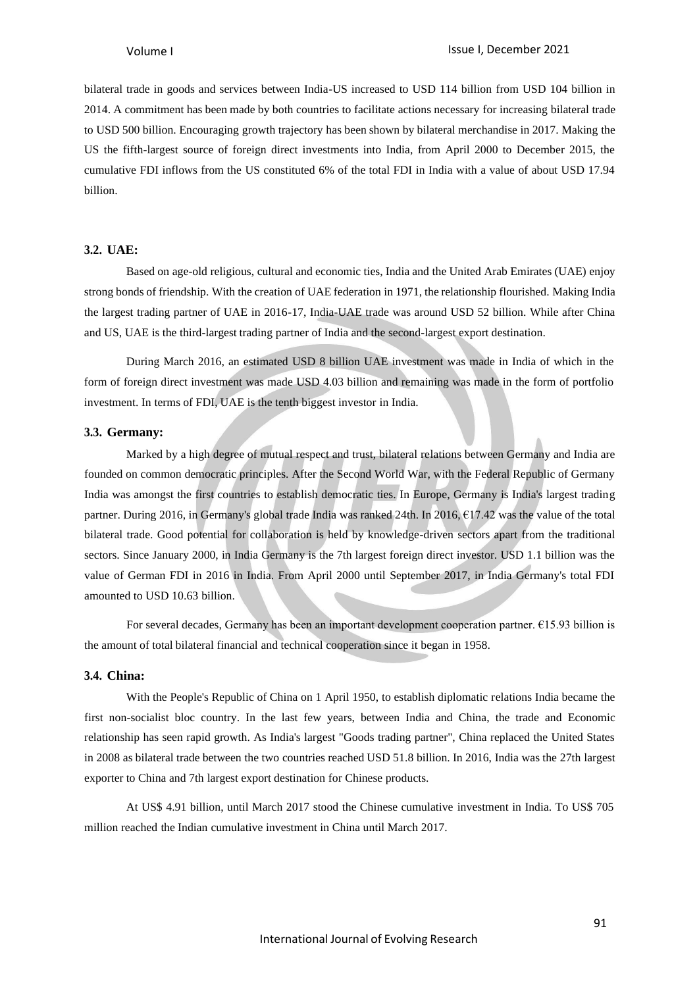bilateral trade in goods and services between India-US increased to USD 114 billion from USD 104 billion in 2014. A commitment has been made by both countries to facilitate actions necessary for increasing bilateral trade to USD 500 billion. Encouraging growth trajectory has been shown by bilateral merchandise in 2017. Making the US the fifth-largest source of foreign direct investments into India, from April 2000 to December 2015, the cumulative FDI inflows from the US constituted 6% of the total FDI in India with a value of about USD 17.94 billion.

### **3.2. UAE:**

Based on age-old religious, cultural and economic ties, India and the United Arab Emirates (UAE) enjoy strong bonds of friendship. With the creation of UAE federation in 1971, the relationship flourished. Making India the largest trading partner of UAE in 2016-17, India-UAE trade was around USD 52 billion. While after China and US, UAE is the third-largest trading partner of India and the second-largest export destination.

During March 2016, an estimated USD 8 billion UAE investment was made in India of which in the form of foreign direct investment was made USD 4.03 billion and remaining was made in the form of portfolio investment. In terms of FDI, UAE is the tenth biggest investor in India.

### **3.3. Germany:**

Marked by a high degree of mutual respect and trust, bilateral relations between Germany and India are founded on common democratic principles. After the Second World War, with the Federal Republic of Germany India was amongst the first countries to establish democratic ties. In Europe, Germany is India's largest trading partner. During 2016, in Germany's global trade India was ranked 24th. In 2016, €17.42 was the value of the total bilateral trade. Good potential for collaboration is held by knowledge-driven sectors apart from the traditional sectors. Since January 2000, in India Germany is the 7th largest foreign direct investor. USD 1.1 billion was the value of German FDI in 2016 in India. From April 2000 until September 2017, in India Germany's total FDI amounted to USD 10.63 billion.

For several decades, Germany has been an important development cooperation partner.  $E15.93$  billion is the amount of total bilateral financial and technical cooperation since it began in 1958.

### **3.4. China:**

With the People's Republic of China on 1 April 1950, to establish diplomatic relations India became the first non-socialist bloc country. In the last few years, between India and China, the trade and Economic relationship has seen rapid growth. As India's largest "Goods trading partner", China replaced the United States in 2008 as bilateral trade between the two countries reached USD 51.8 billion. In 2016, India was the 27th largest exporter to China and 7th largest export destination for Chinese products.

At US\$ 4.91 billion, until March 2017 stood the Chinese cumulative investment in India. To US\$ 705 million reached the Indian cumulative investment in China until March 2017.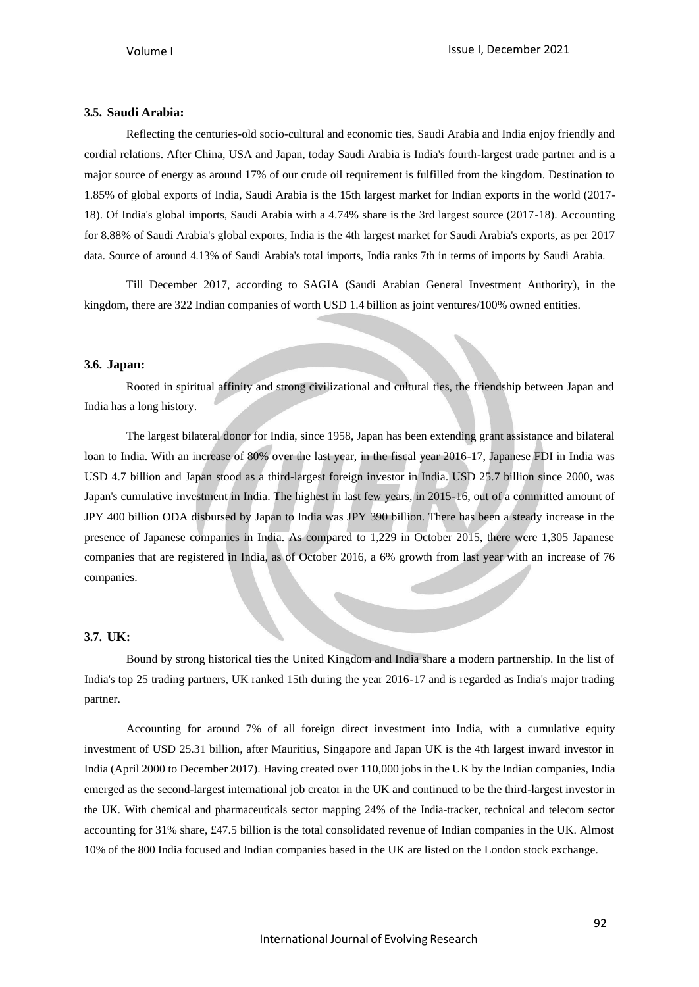### **3.5. Saudi Arabia:**

Reflecting the centuries-old socio-cultural and economic ties, Saudi Arabia and India enjoy friendly and cordial relations. After China, USA and Japan, today Saudi Arabia is India's fourth-largest trade partner and is a major source of energy as around 17% of our crude oil requirement is fulfilled from the kingdom. Destination to 1.85% of global exports of India, Saudi Arabia is the 15th largest market for Indian exports in the world (2017- 18). Of India's global imports, Saudi Arabia with a 4.74% share is the 3rd largest source (2017-18). Accounting for 8.88% of Saudi Arabia's global exports, India is the 4th largest market for Saudi Arabia's exports, as per 2017 data. Source of around 4.13% of Saudi Arabia's total imports, India ranks 7th in terms of imports by Saudi Arabia.

Till December 2017, according to SAGIA (Saudi Arabian General Investment Authority), in the kingdom, there are 322 Indian companies of worth USD 1.4 billion as joint ventures/100% owned entities.

### **3.6. Japan:**

Rooted in spiritual affinity and strong civilizational and cultural ties, the friendship between Japan and India has a long history.

The largest bilateral donor for India, since 1958, Japan has been extending grant assistance and bilateral loan to India. With an increase of 80% over the last year, in the fiscal year 2016-17, Japanese FDI in India was USD 4.7 billion and Japan stood as a third-largest foreign investor in India. USD 25.7 billion since 2000, was Japan's cumulative investment in India. The highest in last few years, in 2015-16, out of a committed amount of JPY 400 billion ODA disbursed by Japan to India was JPY 390 billion. There has been a steady increase in the presence of Japanese companies in India. As compared to 1,229 in October 2015, there were 1,305 Japanese companies that are registered in India, as of October 2016, a 6% growth from last year with an increase of 76 companies.

### **3.7. UK:**

Bound by strong historical ties the United Kingdom and India share a modern partnership. In the list of India's top 25 trading partners, UK ranked 15th during the year 2016-17 and is regarded as India's major trading partner.

Accounting for around 7% of all foreign direct investment into India, with a cumulative equity investment of USD 25.31 billion, after Mauritius, Singapore and Japan UK is the 4th largest inward investor in India (April 2000 to December 2017). Having created over 110,000 jobs in the UK by the Indian companies, India emerged as the second-largest international job creator in the UK and continued to be the third-largest investor in the UK. With chemical and pharmaceuticals sector mapping 24% of the India-tracker, technical and telecom sector accounting for 31% share, £47.5 billion is the total consolidated revenue of Indian companies in the UK. Almost 10% of the 800 India focused and Indian companies based in the UK are listed on the London stock exchange.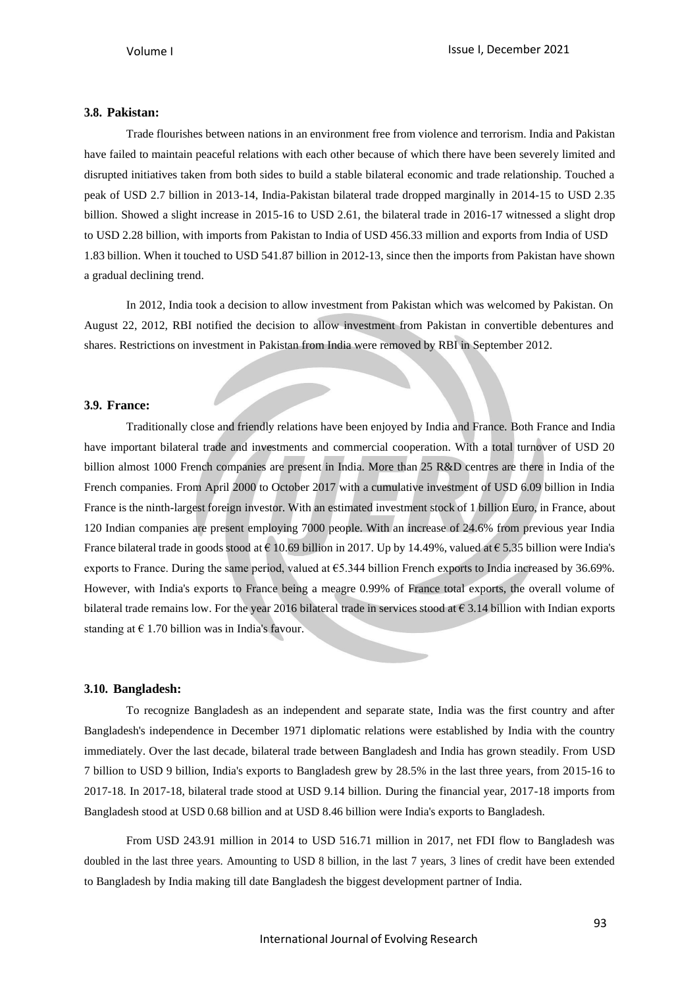### **3.8. Pakistan:**

Trade flourishes between nations in an environment free from violence and terrorism. India and Pakistan have failed to maintain peaceful relations with each other because of which there have been severely limited and disrupted initiatives taken from both sides to build a stable bilateral economic and trade relationship. Touched a peak of USD 2.7 billion in 2013-14, India-Pakistan bilateral trade dropped marginally in 2014-15 to USD 2.35 billion. Showed a slight increase in 2015-16 to USD 2.61, the bilateral trade in 2016-17 witnessed a slight drop to USD 2.28 billion, with imports from Pakistan to India of USD 456.33 million and exports from India of USD 1.83 billion. When it touched to USD 541.87 billion in 2012-13, since then the imports from Pakistan have shown a gradual declining trend.

In 2012, India took a decision to allow investment from Pakistan which was welcomed by Pakistan. On August 22, 2012, RBI notified the decision to allow investment from Pakistan in convertible debentures and shares. Restrictions on investment in Pakistan from India were removed by RBI in September 2012.

### **3.9. France:**

Traditionally close and friendly relations have been enjoyed by India and France. Both France and India have important bilateral trade and investments and commercial cooperation. With a total turnover of USD 20 billion almost 1000 French companies are present in India. More than 25 R&D centres are there in India of the French companies. From April 2000 to October 2017 with a cumulative investment of USD 6.09 billion in India France is the ninth-largest foreign investor. With an estimated investment stock of 1 billion Euro, in France, about 120 Indian companies are present employing 7000 people. With an increase of 24.6% from previous year India France bilateral trade in goods stood at  $\epsilon$  10.69 billion in 2017. Up by 14.49%, valued at  $\epsilon$  5.35 billion were India's exports to France. During the same period, valued at  $65.344$  billion French exports to India increased by 36.69%. However, with India's exports to France being a meagre 0.99% of France total exports, the overall volume of bilateral trade remains low. For the year 2016 bilateral trade in services stood at  $\epsilon$  3.14 billion with Indian exports standing at  $\epsilon$  1.70 billion was in India's favour.

### **3.10. Bangladesh:**

To recognize Bangladesh as an independent and separate state, India was the first country and after Bangladesh's independence in December 1971 diplomatic relations were established by India with the country immediately. Over the last decade, bilateral trade between Bangladesh and India has grown steadily. From USD 7 billion to USD 9 billion, India's exports to Bangladesh grew by 28.5% in the last three years, from 2015-16 to 2017-18. In 2017-18, bilateral trade stood at USD 9.14 billion. During the financial year, 2017-18 imports from Bangladesh stood at USD 0.68 billion and at USD 8.46 billion were India's exports to Bangladesh.

From USD 243.91 million in 2014 to USD 516.71 million in 2017, net FDI flow to Bangladesh was doubled in the last three years. Amounting to USD 8 billion, in the last 7 years, 3 lines of credit have been extended to Bangladesh by India making till date Bangladesh the biggest development partner of India.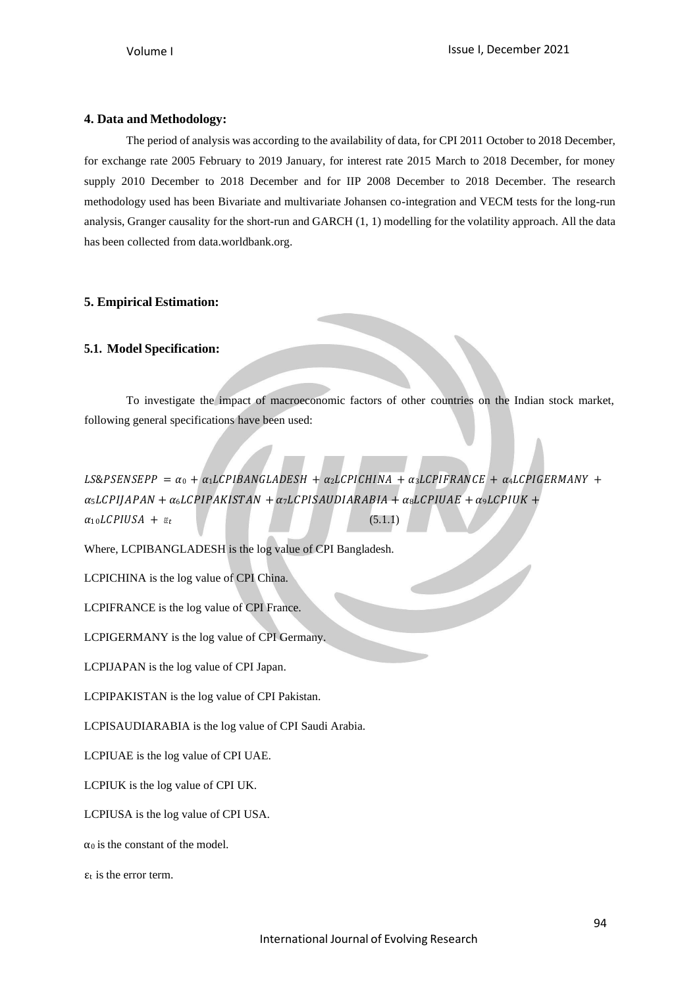### **4. Data and Methodology:**

The period of analysis was according to the availability of data, for CPI 2011 October to 2018 December, for exchange rate 2005 February to 2019 January, for interest rate 2015 March to 2018 December, for money supply 2010 December to 2018 December and for IIP 2008 December to 2018 December. The research methodology used has been Bivariate and multivariate Johansen co-integration and VECM tests for the long-run analysis, Granger causality for the short-run and GARCH (1, 1) modelling for the volatility approach. All the data has been collected from data.worldbank.org.

### **5. Empirical Estimation:**

### **5.1. Model Specification:**

To investigate the impact of macroeconomic factors of other countries on the Indian stock market, following general specifications have been used:

LS&PSENSEPP =  $\alpha_0 + \alpha_1 LCPIBANGLADESH + \alpha_2 LCPICHINA + \alpha_3 LCPIFRANCE + \alpha_4 LCPIGERMANY +$  $\alpha_5 LCPIJAPAN + \alpha_6 LCPIPAKISTAN + \alpha_7 LCPISAUDIARABIA + \alpha_8 LCPIUAE + \alpha_9 LCPIUK +$  $\alpha_{10} LCPUISA + \varepsilon_t$  (5.1.1)

Where, LCPIBANGLADESH is the log value of CPI Bangladesh.

LCPICHINA is the log value of CPI China.

LCPIFRANCE is the log value of CPI France.

LCPIGERMANY is the log value of CPI Germany.

LCPIJAPAN is the log value of CPI Japan.

LCPIPAKISTAN is the log value of CPI Pakistan.

LCPISAUDIARABIA is the log value of CPI Saudi Arabia.

LCPIUAE is the log value of CPI UAE.

LCPIUK is the log value of CPI UK.

LCPIUSA is the log value of CPI USA.

 $\alpha_0$  is the constant of the model.

 $\varepsilon_t$  is the error term.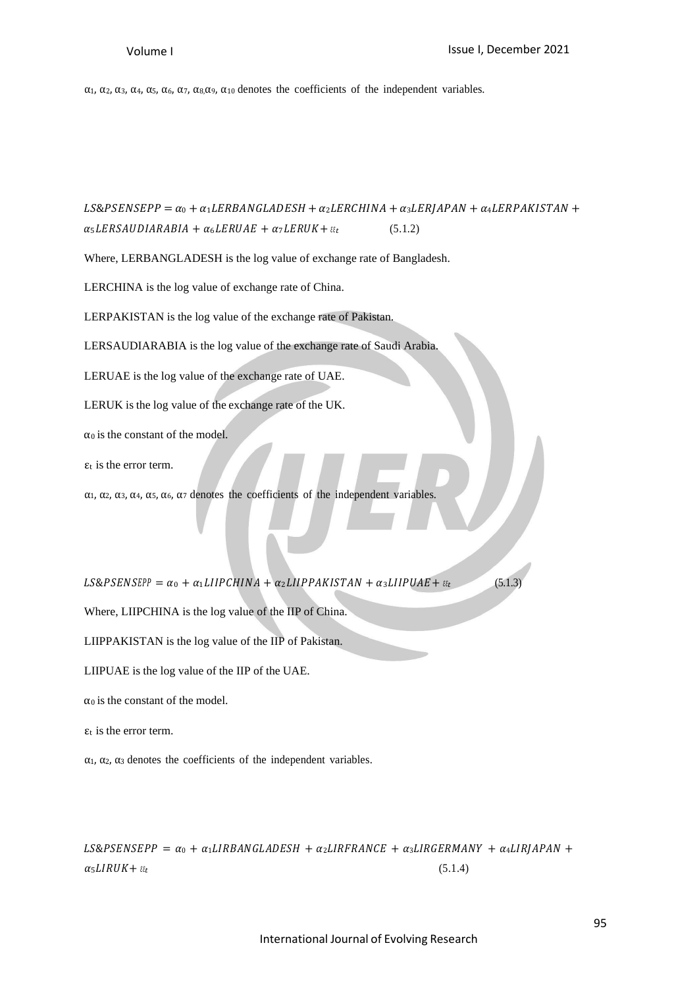α<sub>1</sub>, α<sub>2</sub>, α<sub>3</sub>, α<sub>4</sub>, α<sub>5</sub>, α<sub>6</sub>, α<sub>7</sub>, α<sub>8</sub>, α<sub>9</sub>, α<sub>10</sub> denotes the coefficients of the independent variables.

 $LS\&PSENSEPP = \alpha_0 + \alpha_1 LERBANGLADESH + \alpha_2 LERCHINA + \alpha_3 LERJAPAN + \alpha_4 LERPAKISTAN +$  $\alpha_5 LERSAUDIARABIA + \alpha_6 LERUAE + \alpha_7 LERUK + \varepsilon_t$  (5.1.2) Where, LERBANGLADESH is the log value of exchange rate of Bangladesh. LERCHINA is the log value of exchange rate of China. LERPAKISTAN is the log value of the exchange rate of Pakistan. LERSAUDIARABIA is the log value of the exchange rate of Saudi Arabia. LERUAE is the log value of the exchange rate of UAE. LERUK is the log value of the exchange rate of the UK.  $\alpha_0$  is the constant of the model.  $\epsilon_t$  is the error term.  $\alpha_1$ ,  $\alpha_2$ ,  $\alpha_3$ ,  $\alpha_4$ ,  $\alpha_5$ ,  $\alpha_6$ ,  $\alpha_7$  denotes the coefficients of the independent variables.  $LS\&PSENSEPP = \alpha_0 + \alpha_1 LIIPCHINA + \alpha_2 LIIPPAKISTAN + \alpha_3 LIIPUAE + \epsilon_{\epsilon}$  (5.1.3) Where, LIIPCHINA is the log value of the IIP of China. LIIPPAKISTAN is the log value of the IIP of Pakistan. LIIPUAE is the log value of the IIP of the UAE.  $\alpha_0$  is the constant of the model.  $\varepsilon_t$  is the error term.

 $\alpha_1$ ,  $\alpha_2$ ,  $\alpha_3$  denotes the coefficients of the independent variables.

 $LS\&PSENSEPP = \alpha_0 + \alpha_1 LIRBANGLADESH + \alpha_2 LIRFRANCE + \alpha_3 LIRGERMANY + \alpha_4 LIRJAPAN +$  $\alpha_5 LIRUK + \varepsilon_t$  (5.1.4)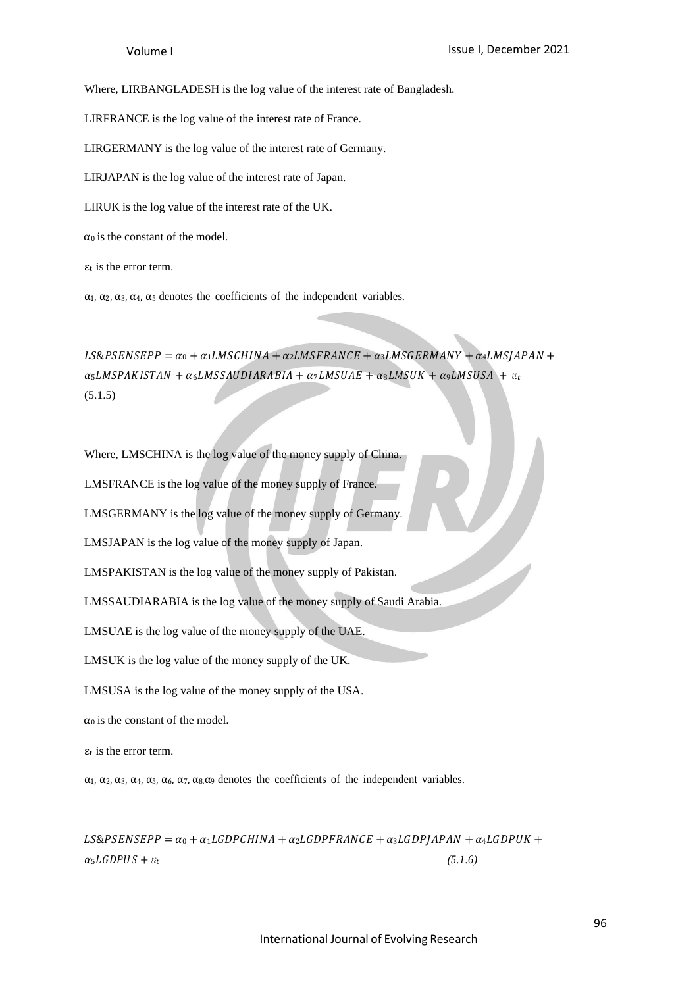Where, LIRBANGLADESH is the log value of the interest rate of Bangladesh.

LIRFRANCE is the log value of the interest rate of France.

LIRGERMANY is the log value of the interest rate of Germany.

LIRJAPAN is the log value of the interest rate of Japan.

LIRUK is the log value of the interest rate of the UK.

 $\alpha_0$  is the constant of the model.

 $\epsilon_t$  is the error term.

α1, α2, α3, α4, α<sup>5</sup> denotes the coefficients of the independent variables.

 $LS\&PSENSEPP = \alpha_0 + \alpha_1 L M SCHINA + \alpha_2 L M SFRANCE + \alpha_3 L M S GERMANY + \alpha_4 L M S JAPAN +$  $\alpha_5 LMSPAKISTAN + \alpha_6 LMSSAUDIARABIA + \alpha_7 LMSUAE + \alpha_8 LMSUK + \alpha_9 LMSUSA + \epsilon_{\ell t}$ (5.1.5)

Where, LMSCHINA is the log value of the money supply of China.

LMSFRANCE is the log value of the money supply of France.

LMSGERMANY is the log value of the money supply of Germany.

LMSJAPAN is the log value of the money supply of Japan.

LMSPAKISTAN is the log value of the money supply of Pakistan.

LMSSAUDIARABIA is the log value of the money supply of Saudi Arabia.

LMSUAE is the log value of the money supply of the UAE.

LMSUK is the log value of the money supply of the UK.

LMSUSA is the log value of the money supply of the USA.

 $\alpha_0$  is the constant of the model.

 $\epsilon_t$  is the error term.

α1, α2, α3, α4, α5, α6, α7, α8,α<sup>9</sup> denotes the coefficients of the independent variables.

 $LS\&PSENSEPP = \alpha_0 + \alpha_1 LGDPCHINA + \alpha_2 LGDPFRANCE + \alpha_3 LGDPJAPAN + \alpha_4 LGDPUK +$  $\alpha_5 LGDPUS + \varepsilon_t$  (5.1.6)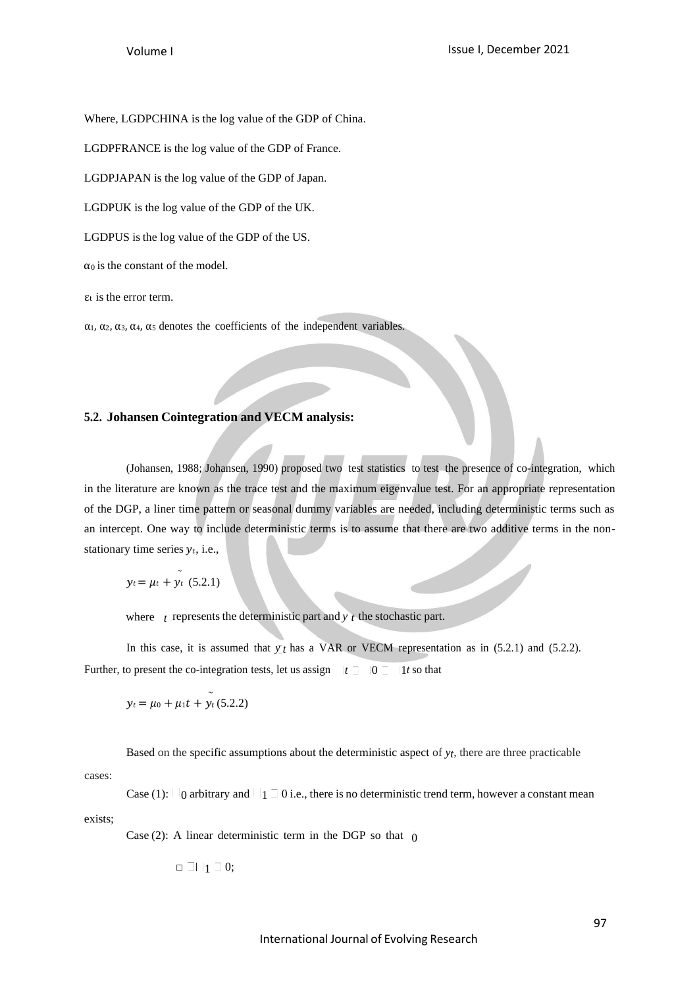Where, LGDPCHINA is the log value of the GDP of China.

LGDPFRANCE is the log value of the GDP of France.

LGDPJAPAN is the log value of the GDP of Japan.

LGDPUK is the log value of the GDP of the UK.

LGDPUS is the log value of the GDP of the US.

 $\alpha_0$  is the constant of the model.

 $\epsilon_t$  is the error term.

α1, α2, α3, α4, α<sup>5</sup> denotes the coefficients of the independent variables.

### **5.2. Johansen Cointegration and VECM analysis:**

(Johansen, 1988; Johansen, 1990) proposed two test statistics to test the presence of co-integration, which in the literature are known as the trace test and the maximum eigenvalue test. For an appropriate representation of the DGP, a liner time pattern or seasonal dummy variables are needed, including deterministic terms such as an intercept. One way to include deterministic terms is to assume that there are two additive terms in the nonstationary time series  $y_t$ , i.e.,

$$
y_t = \mu_t + \tilde{y}_t
$$
 (5.2.1)

where  $t$  represents the deterministic part and  $y$   $t$  the stochastic part.

In this case, it is assumed that  $\bar{y}$  *t* has a VAR or VECM representation as in (5.2.1) and (5.2.2). Further, to present the co-integration tests, let us assign  $|t \supseteq |0 \supseteq |1 \text{ to that}$ 

$$
y_t = \mu_0 + \mu_1 t + y_t (5.2.2)
$$

Based on the specific assumptions about the deterministic aspect of *yt*, there are three practicable

cases:

exists; Case (1):  $\Box$  0 arbitrary and  $\Box$  1  $\Box$  0 i.e., there is no deterministic trend term, however a constant mean

Case (2): A linear deterministic term in the DGP so that  $\phi$ 

$$
\Box \ \Box \ \bot_1 \ \Box \ 0;
$$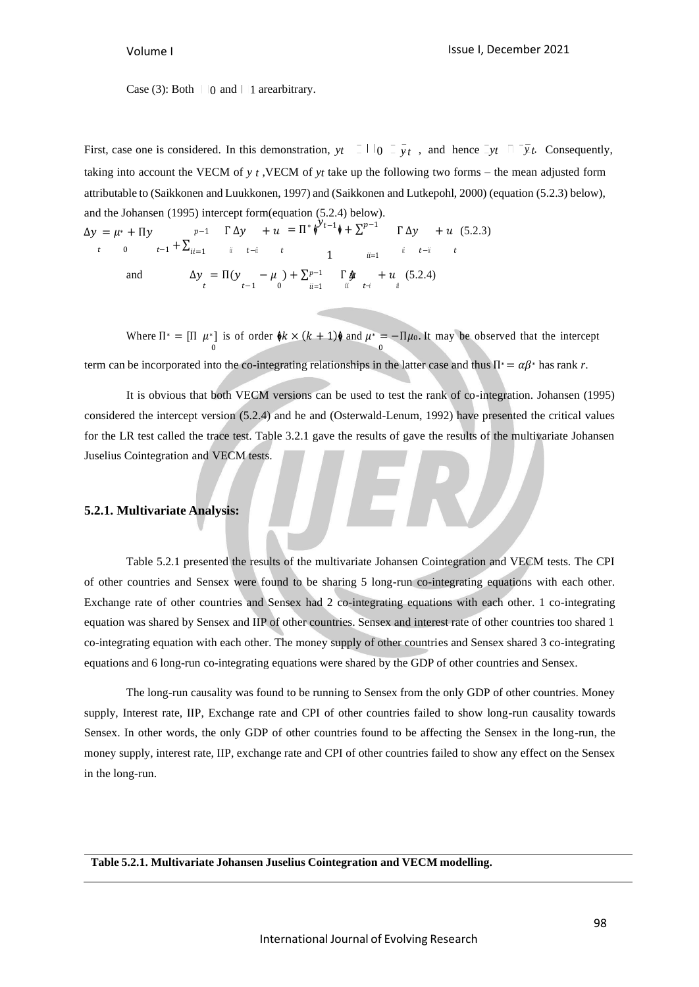Case (3): Both  $| \cdot |$  and  $| \cdot |$  arearbitrary.

First, case one is considered. In this demonstration,  $y_t = 1 + 0 = \overline{y}_t$ , and hence  $\overline{-y}_t = \overline{y}_t$ . Consequently, taking into account the VECM of *y t* ,VECM of *yt* take up the following two forms – the mean adjusted form attributable to (Saikkonen and Luukkonen, 1997) and (Saikkonen and Lutkepohl, 2000) (equation (5.2.3) below), and the Johansen (1995) intercept form(equation (5.2.4) below).

$$
\Delta y = \mu^* + \Pi y \qquad p-1 \qquad \Gamma \Delta y \qquad + u = \Pi^* \phi^{y} t^{-1} \phi + \Sigma^{p-1} \qquad \Gamma \Delta y \qquad + u \quad (5.2.3)
$$
  
\n
$$
t \qquad 0 \qquad t^{-1} + \Sigma_{ii=1} \qquad \text{if} \qquad t^{-ii} \qquad t \qquad 1 \qquad \text{if} \qquad t^{-1} \qquad t \qquad 1
$$
  
\nand  
\n
$$
\Delta y = \Pi(y \qquad -\mu) + \Sigma^{p-1} \qquad \Gamma \Delta y \qquad + u \quad (5.2.4)
$$

Where  $\Pi^* = [\Pi \mu^*]$  is of order  $\phi k \times (k+1)\phi$  and  $\mu^* = -\Pi \mu_0$ . It may be observed that the intercept 0 0 term can be incorporated into the co-integrating relationships in the latter case and thus  $\Pi^* = \alpha \beta^*$  has rank *r*.

It is obvious that both VECM versions can be used to test the rank of co-integration. Johansen (1995) considered the intercept version (5.2.4) and he and (Osterwald-Lenum, 1992) have presented the critical values for the LR test called the trace test. Table 3.2.1 gave the results of gave the results of the multivariate Johansen Juselius Cointegration and VECM tests.

### **5.2.1. Multivariate Analysis:**

Table 5.2.1 presented the results of the multivariate Johansen Cointegration and VECM tests. The CPI of other countries and Sensex were found to be sharing 5 long-run co-integrating equations with each other. Exchange rate of other countries and Sensex had 2 co-integrating equations with each other. 1 co-integrating equation was shared by Sensex and IIP of other countries. Sensex and interest rate of other countries too shared 1 co-integrating equation with each other. The money supply of other countries and Sensex shared 3 co-integrating equations and 6 long-run co-integrating equations were shared by the GDP of other countries and Sensex.

The long-run causality was found to be running to Sensex from the only GDP of other countries. Money supply, Interest rate, IIP, Exchange rate and CPI of other countries failed to show long-run causality towards Sensex. In other words, the only GDP of other countries found to be affecting the Sensex in the long-run, the money supply, interest rate, IIP, exchange rate and CPI of other countries failed to show any effect on the Sensex in the long-run.

**Table 5.2.1. Multivariate Johansen Juselius Cointegration and VECM modelling.**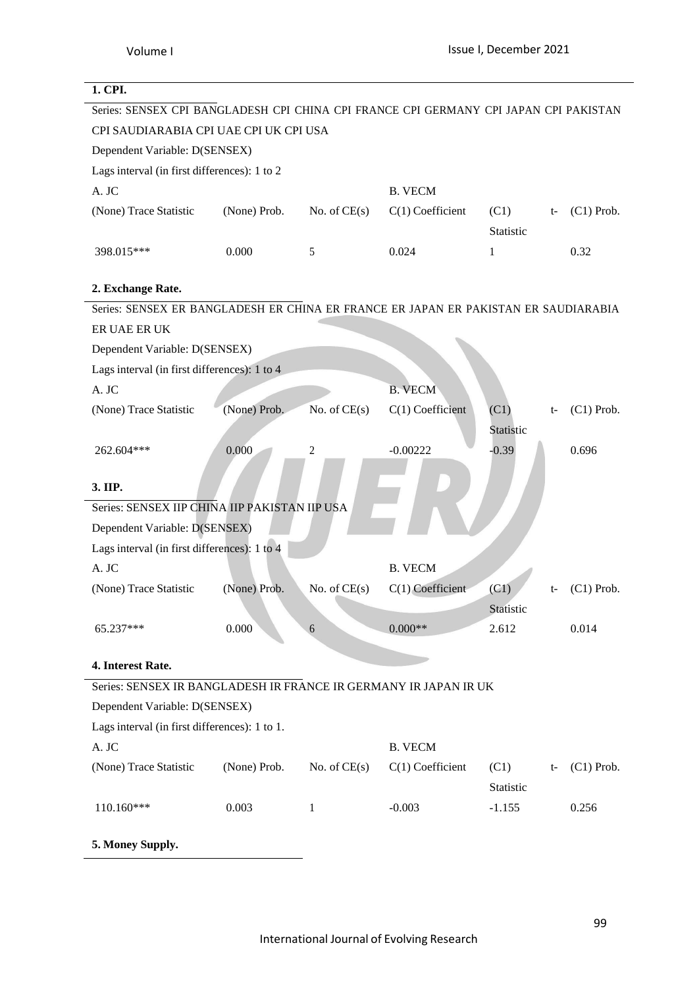# **1. CPI.** Series: SENSEX CPI BANGLADESH CPI CHINA CPI FRANCE CPI GERMANY CPI JAPAN CPI PAKISTAN CPI SAUDIARABIA CPI UAE CPI UK CPI USA Dependent Variable: D(SENSEX) Lags interval (in first differences): 1 to 2 A. JC B. VECM (None) Trace Statistic (None) Prob. No. of CE(s)  $C(1)$  Coefficient (C1) Statistic (C1) Prob. 398.015\*\*\* 0.000 5 0.024 1 0.32 **2. Exchange Rate.** Series: SENSEX ER BANGLADESH ER CHINA ER FRANCE ER JAPAN ER PAKISTAN ER SAUDIARABIA ER UAE ER UK Dependent Variable: D(SENSEX) Lags interval (in first differences): 1 to 4 A. JC B. VECM (None) Trace Statistic (None) Prob. No. of CE(s) C(1) Coefficient (C1) t-Statistic (C1) Prob. 262.604\*\*\* 0.000 2 -0.00222 -0.39 0.696 **3. IIP.** Series: SENSEX IIP CHINA IIP PAKISTAN IIP USA Dependent Variable: D(SENSEX) Lags interval (in first differences): 1 to 4 A. JC B. VECM (None) Trace Statistic (None) Prob. No. of CE(s) C(1) Coefficient (C1) t-**Statistic** (C1) Prob.  $6.65.237***$  0.000 6 0.000<sup>\*\*</sup> 2.612 0.014 **4. Interest Rate.** Series: SENSEX IR BANGLADESH IR FRANCE IR GERMANY IR JAPAN IR UK Dependent Variable: D(SENSEX) Lags interval (in first differences): 1 to 1. A. JC B. VECM (None) Trace Statistic (None) Prob. No. of CE(s)  $C(1)$  Coefficient (C1) Statistic (C1) Prob. 110.160\*\*\* 0.003 1 -0.003 -1.155 0.256 **5. Money Supply.**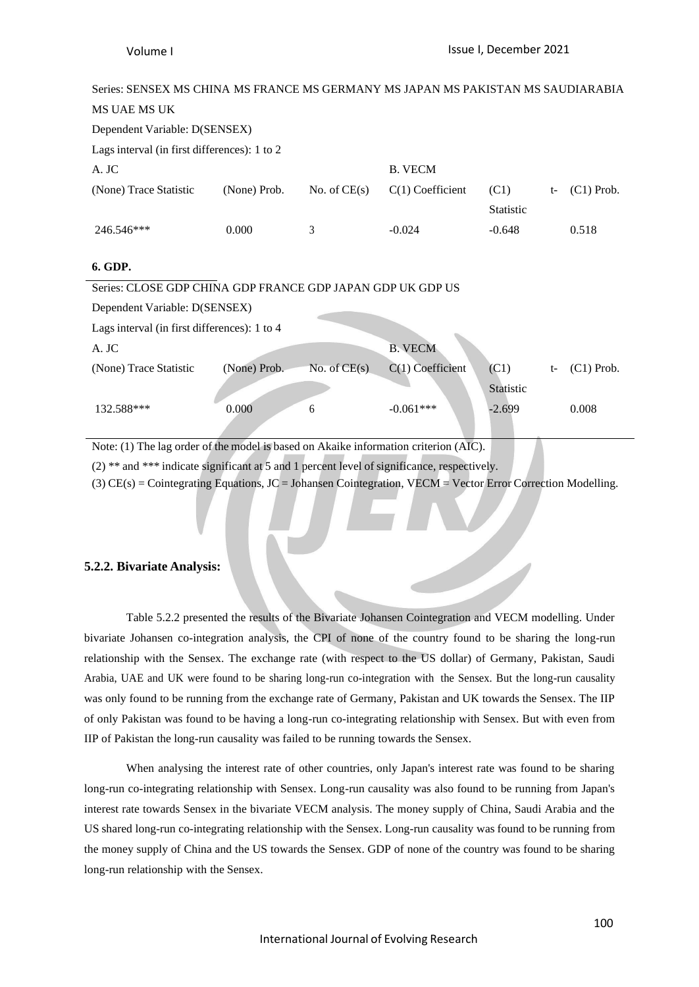| Series: SENSEX MS CHINA MS FRANCE MS GERMANY MS JAPAN MS PAKISTAN MS SAUDIARABIA     |              |                |                    |                          |      |              |  |
|--------------------------------------------------------------------------------------|--------------|----------------|--------------------|--------------------------|------|--------------|--|
| MS UAE MS UK                                                                         |              |                |                    |                          |      |              |  |
| Dependent Variable: D(SENSEX)                                                        |              |                |                    |                          |      |              |  |
| Lags interval (in first differences): 1 to 2                                         |              |                |                    |                          |      |              |  |
| A. JC                                                                                |              |                | <b>B. VECM</b>     |                          |      |              |  |
| (None) Trace Statistic                                                               | (None) Prob. | No. of $CE(s)$ | $C(1)$ Coefficient | (C1)<br><b>Statistic</b> | $t-$ | $(C1)$ Prob. |  |
| 246.546***                                                                           | 0.000        | 3              | $-0.024$           | $-0.648$                 |      | 0.518        |  |
| 6. GDP.                                                                              |              |                |                    |                          |      |              |  |
| Series: CLOSE GDP CHINA GDP FRANCE GDP JAPAN GDP UK GDP US                           |              |                |                    |                          |      |              |  |
| Dependent Variable: D(SENSEX)                                                        |              |                |                    |                          |      |              |  |
| Lags interval (in first differences): 1 to 4                                         |              |                |                    |                          |      |              |  |
| A. JC                                                                                |              |                | <b>B. VECM</b>     |                          |      |              |  |
| (None) Trace Statistic                                                               | (None) Prob. | No. of $CE(s)$ | $C(1)$ Coefficient | (C1)                     | $t-$ | $(C1)$ Prob. |  |
|                                                                                      |              |                |                    | Statistic                |      |              |  |
| 132.588***                                                                           | 0.000        | 6              | $-0.061***$        | $-2.699$                 |      | 0.008        |  |
| Note: (1) The lag order of the model is based on Akaike information criterion (AIC). |              |                |                    |                          |      |              |  |

(2) \*\* and \*\*\* indicate significant at 5 and 1 percent level of significance, respectively.

(3)  $CE(s) = Cointegrating Equations, JC = Johansen Cointegration, VECM = Vector Error Correction Modelling.$ 

### **5.2.2. Bivariate Analysis:**

Table 5.2.2 presented the results of the Bivariate Johansen Cointegration and VECM modelling. Under bivariate Johansen co-integration analysis, the CPI of none of the country found to be sharing the long-run relationship with the Sensex. The exchange rate (with respect to the US dollar) of Germany, Pakistan, Saudi Arabia, UAE and UK were found to be sharing long-run co-integration with the Sensex. But the long-run causality was only found to be running from the exchange rate of Germany, Pakistan and UK towards the Sensex. The IIP of only Pakistan was found to be having a long-run co-integrating relationship with Sensex. But with even from IIP of Pakistan the long-run causality was failed to be running towards the Sensex.

When analysing the interest rate of other countries, only Japan's interest rate was found to be sharing long-run co-integrating relationship with Sensex. Long-run causality was also found to be running from Japan's interest rate towards Sensex in the bivariate VECM analysis. The money supply of China, Saudi Arabia and the US shared long-run co-integrating relationship with the Sensex. Long-run causality was found to be running from the money supply of China and the US towards the Sensex. GDP of none of the country was found to be sharing long-run relationship with the Sensex.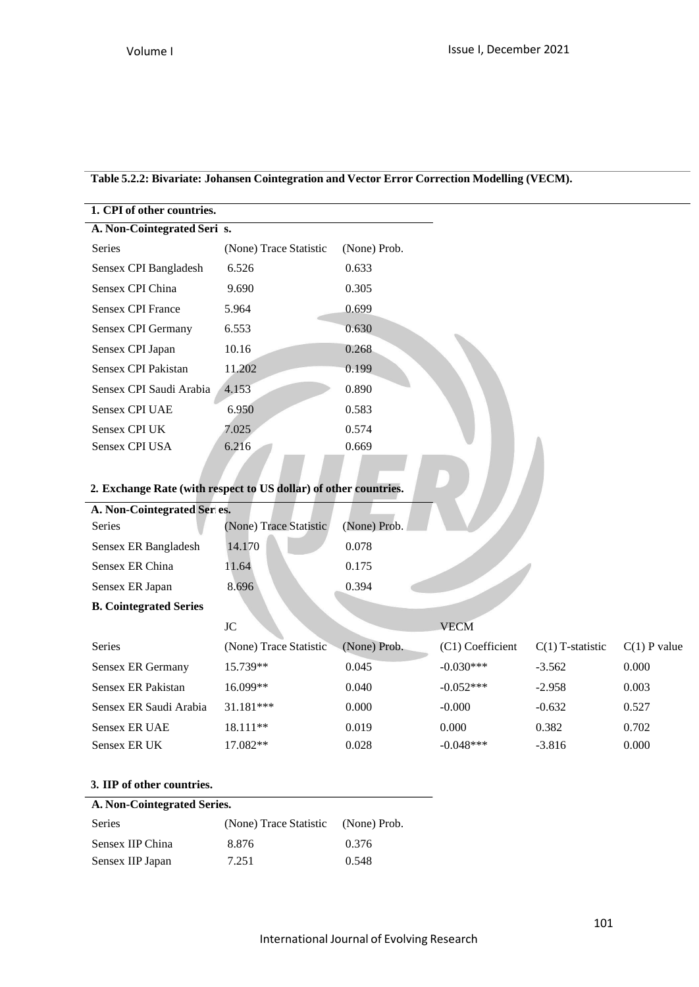# **Table 5.2.2: Bivariate: Johansen Cointegration and Vector Error Correction Modelling (VECM).**

| 1. CPI of other countries.                                       |                        |              |
|------------------------------------------------------------------|------------------------|--------------|
| A. Non-Cointegrated Seri s.                                      |                        |              |
| Series                                                           | (None) Trace Statistic | (None) Prob. |
| Sensex CPI Bangladesh                                            | 6.526                  | 0.633        |
| Sensex CPI China                                                 | 9.690                  | 0.305        |
| <b>Sensex CPI France</b>                                         | 5.964                  | 0.699        |
| Sensex CPI Germany                                               | 6.553                  | 0.630        |
| Sensex CPI Japan                                                 | 10.16                  | 0.268        |
| Sensex CPI Pakistan                                              | 11.202                 | 0.199        |
| Sensex CPI Saudi Arabia                                          | 4.153                  | 0.890        |
| <b>Sensex CPI UAE</b>                                            | 6.950                  | 0.583        |
| <b>Sensex CPI UK</b>                                             | 7.025                  | 0.574        |
| Sensex CPI USA                                                   | 6.216                  | 0.669        |
|                                                                  |                        |              |
| 2. Exchange Rate (with respect to US dollar) of other countries. |                        |              |

# **2. Exchange Rate (with respect to US dollar) of other countries.**

| A. Non-Cointegrated Series.   |                        |              |  |
|-------------------------------|------------------------|--------------|--|
| <b>Series</b>                 | (None) Trace Statistic | (None) Prob. |  |
| Sensex ER Bangladesh          | 14.170                 | 0.078        |  |
| Sensex ER China               | 11.64                  | 0.175        |  |
| Sensex ER Japan               | 8.696                  | 0.394        |  |
| <b>B. Cointegrated Series</b> |                        |              |  |

|                        | JC                     |              | <b>VECM</b>      |                    |                |
|------------------------|------------------------|--------------|------------------|--------------------|----------------|
| <b>Series</b>          | (None) Trace Statistic | (None) Prob. | (C1) Coefficient | $C(1)$ T-statistic | $C(1)$ P value |
| Sensex ER Germany      | 15.739**               | 0.045        | $-0.030***$      | $-3.562$           | 0.000          |
| Sensex ER Pakistan     | 16.099**               | 0.040        | $-0.052***$      | $-2.958$           | 0.003          |
| Sensex ER Saudi Arabia | $31.181***$            | 0.000        | $-0.000$         | $-0.632$           | 0.527          |
| Sensex ER UAE          | $18.111**$             | 0.019        | 0.000            | 0.382              | 0.702          |
| Sensex ER UK           | 17.082**               | 0.028        | $-0.048***$      | $-3.816$           | 0.000          |

# **3. IIP of other countries.**

### **A. Non-Cointegrated Series.**

| Series           | (None) Trace Statistic (None) Prob. |       |
|------------------|-------------------------------------|-------|
| Sensex IIP China | 8.876                               | 0.376 |
| Sensex IIP Japan | 7.251                               | 0.548 |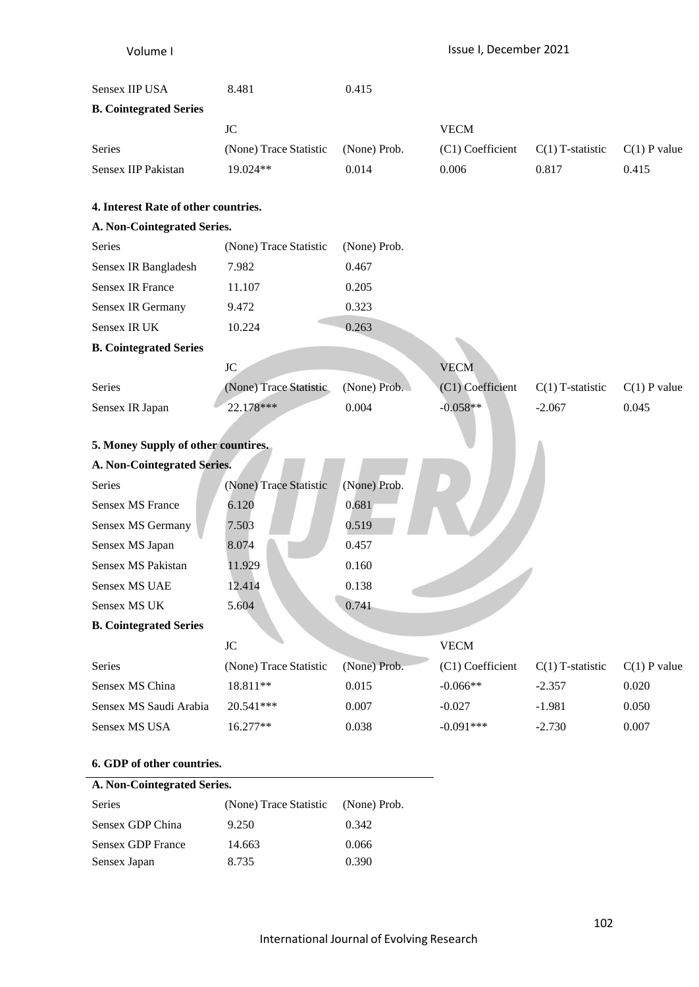| Volume I                             |                        |              | Issue I, December 2021 |                    |                |
|--------------------------------------|------------------------|--------------|------------------------|--------------------|----------------|
| Sensex IIP USA                       | 8.481                  | 0.415        |                        |                    |                |
| <b>B. Cointegrated Series</b>        |                        |              |                        |                    |                |
|                                      | <b>JC</b>              |              | <b>VECM</b>            |                    |                |
| Series                               | (None) Trace Statistic | (None) Prob. | (C1) Coefficient       | $C(1)$ T-statistic | $C(1)$ P value |
| Sensex IIP Pakistan                  | 19.024**               | 0.014        | 0.006                  | 0.817              | 0.415          |
| 4. Interest Rate of other countries. |                        |              |                        |                    |                |
| A. Non-Cointegrated Series.          |                        |              |                        |                    |                |
| Series                               | (None) Trace Statistic | (None) Prob. |                        |                    |                |
| Sensex IR Bangladesh                 | 7.982                  | 0.467        |                        |                    |                |
| <b>Sensex IR France</b>              | 11.107                 | 0.205        |                        |                    |                |
| Sensex IR Germany                    | 9.472                  | 0.323        |                        |                    |                |
| Sensex IR UK                         | 10.224                 | 0.263        |                        |                    |                |
| <b>B. Cointegrated Series</b>        |                        |              |                        |                    |                |
|                                      | $\rm JC$               |              | <b>VECM</b>            |                    |                |
| Series                               | (None) Trace Statistic | (None) Prob. | (C1) Coefficient       | $C(1)$ T-statistic | $C(1)$ P value |
| Sensex IR Japan                      | 22.178***              | 0.004        | $-0.058**$             | $-2.067$           | 0.045          |
|                                      |                        |              |                        |                    |                |
| 5. Money Supply of other countires.  |                        |              |                        |                    |                |
| A. Non-Cointegrated Series.          |                        |              |                        |                    |                |
| Series                               | (None) Trace Statistic | (None) Prob. |                        |                    |                |
| <b>Sensex MS France</b>              | 6.120                  | 0.681        |                        |                    |                |
| Sensex MS Germany                    | 7.503                  | 0.519        |                        |                    |                |
| Sensex MS Japan                      | 8.074                  | 0.457        |                        |                    |                |
| Sensex MS Pakistan                   | 11.929                 | 0.160        |                        |                    |                |
| Sensex MS UAE                        | 12.414                 | 0.138        |                        |                    |                |
| Sensex MS UK                         | 5.604                  | 0.741        |                        |                    |                |
| <b>B. Cointegrated Series</b>        |                        |              |                        |                    |                |
|                                      | $\rm JC$               |              | <b>VECM</b>            |                    |                |
| Series                               | (None) Trace Statistic | (None) Prob. | (C1) Coefficient       | $C(1)$ T-statistic | $C(1)$ P value |
| Sensex MS China                      | 18.811**               | 0.015        | $-0.066**$             | $-2.357$           | 0.020          |
| Sensex MS Saudi Arabia               | 20.541***              | 0.007        | $-0.027$               | $-1.981$           | 0.050          |
| Sensex MS USA                        | 16.277**               | 0.038        | $-0.091***$            | $-2.730$           | 0.007          |
| 6. GDP of other countries.           |                        |              |                        |                    |                |
| A. Non-Cointegrated Series.          |                        |              |                        |                    |                |

| <b>Series</b>            | (None) Trace Statistic (None) Prob. |       |
|--------------------------|-------------------------------------|-------|
| Sensex GDP China         | 9.250                               | 0.342 |
| <b>Sensex GDP France</b> | 14.663                              | 0.066 |
| Sensex Japan             | 8.735                               | 0.390 |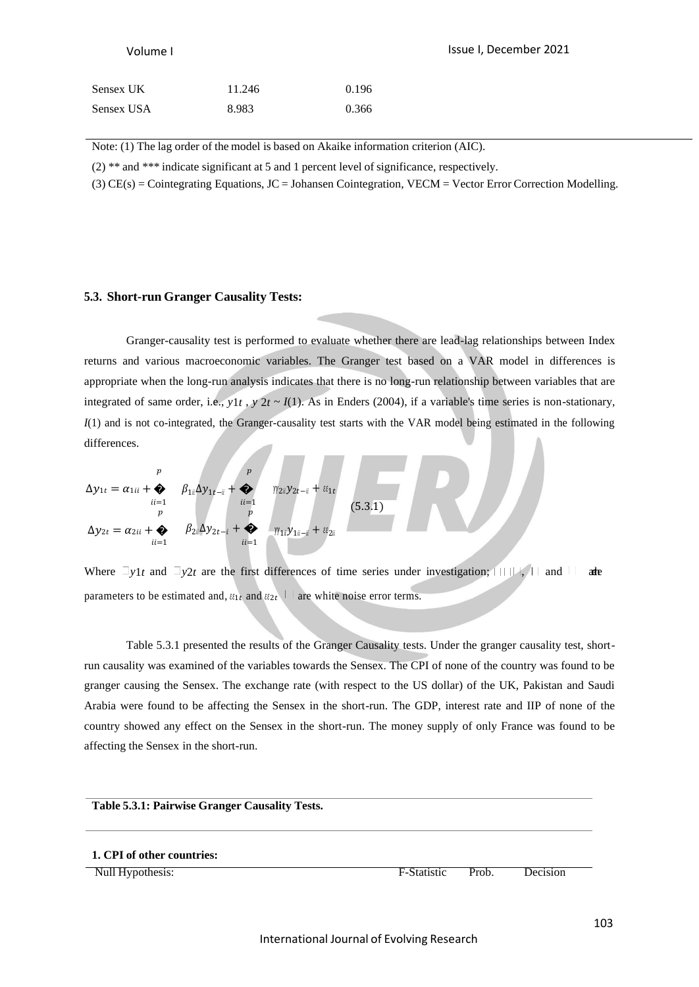| Sensex UK  | 11.246 | 0.196 |
|------------|--------|-------|
| Sensex USA | 8.983  | 0.366 |

Note: (1) The lag order of the model is based on Akaike information criterion (AIC).

(2) \*\* and \*\*\* indicate significant at 5 and 1 percent level of significance, respectively.

(3) CE(s) = Cointegrating Equations, JC = Johansen Cointegration, VECM = Vector Error Correction Modelling.

### **5.3. Short-run Granger Causality Tests:**

Granger-causality test is performed to evaluate whether there are lead-lag relationships between Index returns and various macroeconomic variables. The Granger test based on a VAR model in differences is appropriate when the long-run analysis indicates that there is no long-run relationship between variables that are integrated of same order, i.e.,  $y_1t$ ,  $y_2t \sim I(1)$ . As in Enders (2004), if a variable's time series is non-stationary, *I*(1) and is not co-integrated, the Granger-causality test starts with the VAR model being estimated in the following differences.

$$
\Delta y_{1t} = \alpha_{1ii} + \bigotimes_{ii=1}^{p} \beta_{1ii} \Delta y_{1t-i} + \bigotimes_{ii=1}^{p} \eta_{2ii} y_{2t-i} + \varepsilon_{1t}
$$
  
\n
$$
\Delta y_{2t} = \alpha_{2ii} + \bigotimes_{ii=1}^{p} \beta_{2ii} \Delta y_{2t-i} + \bigotimes_{ii=1}^{p} \eta_{1ii} y_{1i-i} + \varepsilon_{2i}
$$
\n(5.3.1)

Where  $\exists y_1 t$  and  $\exists y_2 t$  are the first differences of time series under investigation;  $\exists \exists y_1 t$  and  $\exists \forall z$ parameters to be estimated and,  $\epsilon_{1t}$  and  $\epsilon_{2t}$  are white noise error terms.

Table 5.3.1 presented the results of the Granger Causality tests. Under the granger causality test, shortrun causality was examined of the variables towards the Sensex. The CPI of none of the country was found to be granger causing the Sensex. The exchange rate (with respect to the US dollar) of the UK, Pakistan and Saudi Arabia were found to be affecting the Sensex in the short-run. The GDP, interest rate and IIP of none of the country showed any effect on the Sensex in the short-run. The money supply of only France was found to be affecting the Sensex in the short-run.

### **Table 5.3.1: Pairwise Granger Causality Tests.**

### **1. CPI of other countries:**

Null Hypothesis: F-Statistic Prob. Decision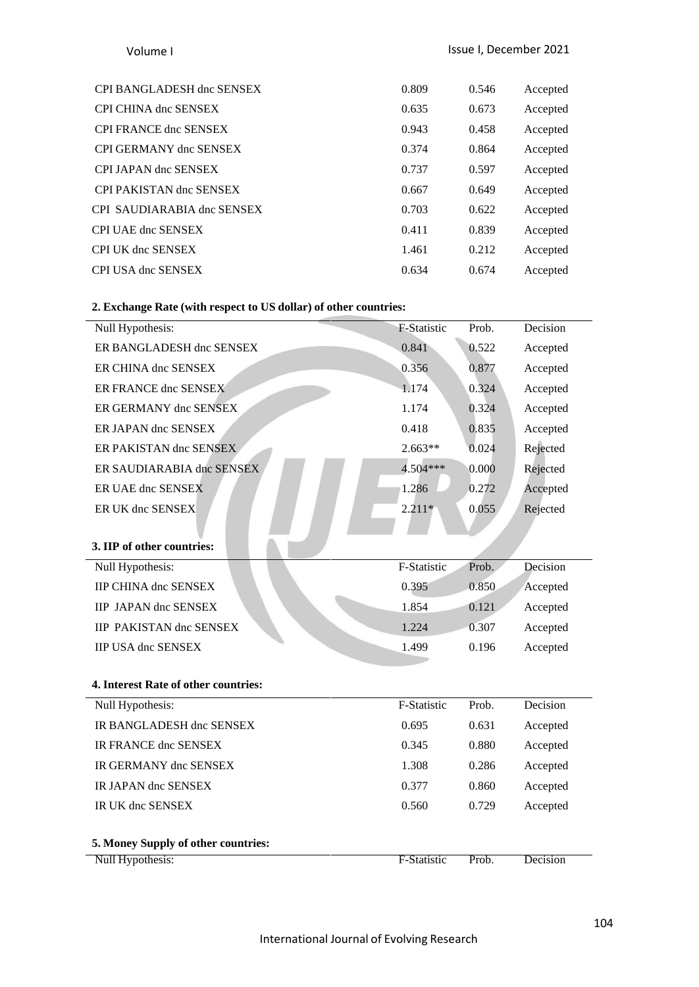| CPI BANGLADESH dnc SENSEX   | 0.809 | 0.546 | Accepted |
|-----------------------------|-------|-------|----------|
| <b>CPI CHINA dnc SENSEX</b> | 0.635 | 0.673 | Accepted |
| CPI FRANCE dnc SENSEX       | 0.943 | 0.458 | Accepted |
| CPI GERMANY dnc SENSEX      | 0.374 | 0.864 | Accepted |
| CPI JAPAN dnc SENSEX        | 0.737 | 0.597 | Accepted |
| CPI PAKISTAN dnc SENSEX     | 0.667 | 0.649 | Accepted |
| CPI SAUDIARABIA dnc SENSEX  | 0.703 | 0.622 | Accepted |
| CPI UAE dnc SENSEX          | 0.411 | 0.839 | Accepted |
| CPI UK dnc SENSEX           | 1.461 | 0.212 | Accepted |
| CPI USA dnc SENSEX          | 0.634 | 0.674 | Accepted |
|                             |       |       |          |

## **2. Exchange Rate (with respect to US dollar) of other countries:**

| Null Hypothesis:                     | F-Statistic | Prob. | Decision |
|--------------------------------------|-------------|-------|----------|
| 5. Money Supply of other countries:  |             |       |          |
| IR UK dnc SENSEX                     | 0.560       | 0.729 | Accepted |
| IR JAPAN dnc SENSEX                  | 0.377       | 0.860 | Accepted |
| IR GERMANY dnc SENSEX                | 1.308       | 0.286 | Accepted |
| IR FRANCE dnc SENSEX                 | 0.345       | 0.880 | Accepted |
| IR BANGLADESH dnc SENSEX             | 0.695       | 0.631 | Accepted |
| Null Hypothesis:                     | F-Statistic | Prob. | Decision |
| 4. Interest Rate of other countries: |             |       |          |
|                                      |             |       |          |
| <b>IIP USA dnc SENSEX</b>            | 1.499       | 0.196 | Accepted |
| <b>IIP PAKISTAN dnc SENSEX</b>       | 1.224       | 0.307 | Accepted |
| <b>IIP JAPAN dnc SENSEX</b>          | 1.854       | 0.121 | Accepted |
| <b>IIP CHINA dnc SENSEX</b>          | 0.395       | 0.850 | Accepted |
| Null Hypothesis:                     | F-Statistic | Prob. | Decision |
| 3. IIP of other countries:           |             |       |          |
|                                      |             |       |          |
| ER UK dnc SENSEX                     | $2.211*$    | 0.055 | Rejected |
| ER UAE dnc SENSEX                    | 1.286       | 0.272 | Accepted |
| ER SAUDIARABIA dnc SENSEX            | 4.504***    | 0.000 | Rejected |
| ER PAKISTAN dnc SENSEX               | $2.663**$   | 0.024 | Rejected |
| ER JAPAN dnc SENSEX                  | 0.418       | 0.835 | Accepted |
| ER GERMANY dnc SENSEX                | 1.174       | 0.324 | Accepted |
| ER FRANCE dnc SENSEX                 | 1.174       | 0.324 | Accepted |
| ER CHINA dnc SENSEX                  | 0.356       | 0.877 | Accepted |
| ER BANGLADESH dnc SENSEX             | 0.841       | 0.522 | Accepted |
| Null Hypothesis:                     | F-Statistic | Prob. | Decision |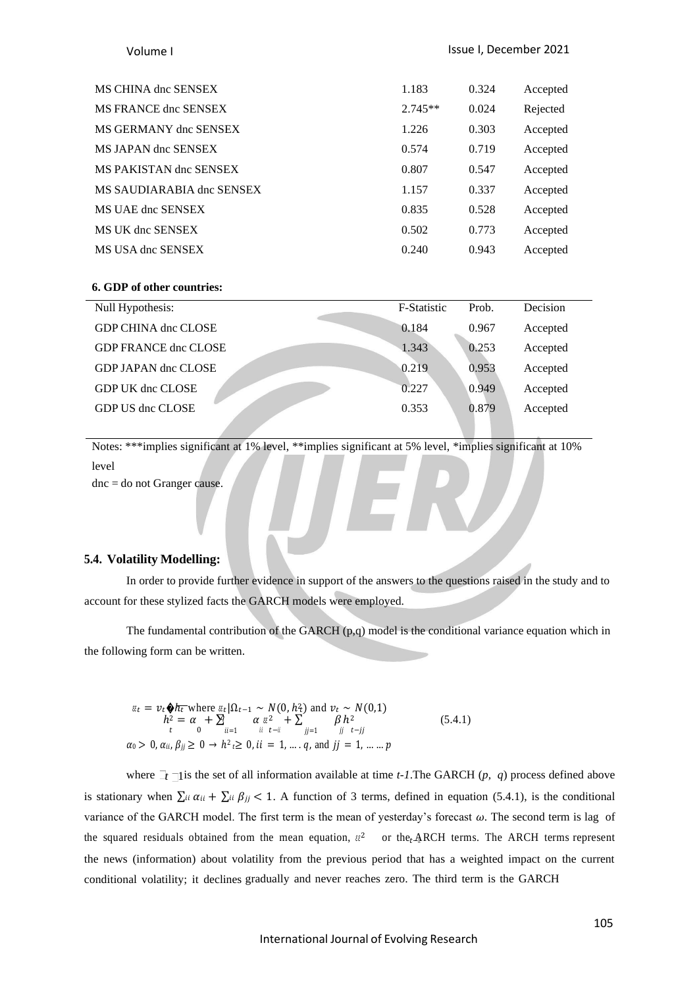| MS CHINA dnc SENSEX       | 1.183     | 0.324 | Accepted |
|---------------------------|-----------|-------|----------|
| MS FRANCE dnc SENSEX      | $2.745**$ | 0.024 | Rejected |
| MS GERMANY dnc SENSEX     | 1.226     | 0.303 | Accepted |
| MS JAPAN dnc SENSEX       | 0.574     | 0.719 | Accepted |
| MS PAKISTAN dnc SENSEX    | 0.807     | 0.547 | Accepted |
| MS SAUDIARABIA dnc SENSEX | 1.157     | 0.337 | Accepted |
| MS UAE dnc SENSEX         | 0.835     | 0.528 | Accepted |
| MS UK dnc SENSEX          | 0.502     | 0.773 | Accepted |
| MS USA dnc SENSEX         | 0.240     | 0.943 | Accepted |

### **6. GDP of other countries:**

| Null Hypothesis:            | F-Statistic | Prob. | Decision |
|-----------------------------|-------------|-------|----------|
| <b>GDP CHINA dnc CLOSE</b>  | 0.184       | 0.967 | Accepted |
| <b>GDP FRANCE dnc CLOSE</b> | 1.343       | 0.253 | Accepted |
| GDP JAPAN dnc CLOSE         | 0.219       | 0.953 | Accepted |
| GDP UK dnc CLOSE            | 0.227       | 0.949 | Accepted |
| GDP US dnc CLOSE            | 0.353       | 0.879 | Accepted |
|                             |             |       |          |

Notes: \*\*\*implies significant at 1% level, \*\*implies significant at 5% level, \*implies significant at 10% level dnc = do not Granger cause.

### **5.4. Volatility Modelling:**

In order to provide further evidence in support of the answers to the questions raised in the study and to account for these stylized facts the GARCH models were employed.

The fundamental contribution of the GARCH  $(p,q)$  model is the conditional variance equation which in the following form can be written.

 $\epsilon_{\ell t} = v_t \hat{\phi} h_t$  where  $\epsilon_{\ell t} | \Omega_{t-1} \sim N(0, h_t)$  and  $v_t \sim N(0, 1)$  $h^2 = \alpha_0 + \sum_{ii=1}^{\infty} \alpha_{ii} \frac{z^2}{t-i} + \sum_{j=1}^{\infty} \beta_j h^2$  (5.4.1)  $\alpha_0 > 0$ ,  $\alpha_{ii}$ ,  $\beta_{jj} \geq 0 \rightarrow h^2 t \geq 0$ ,  $ii = 1, ..., q$ , and  $jj = 1, ..., p$ 

where  $\exists t$   $\exists$  is the set of all information available at time *t*-1. The GARCH (*p*, *q*) process defined above is stationary when  $\sum_i \alpha_{ii} + \sum_i \beta_{jj} < 1$ . A function of 3 terms, defined in equation (5.4.1), is the conditional variance of the GARCH model. The first term is the mean of yesterday's forecast  $\omega$ . The second term is lag of the squared residuals obtained from the mean equation,  $\epsilon^2$  or the<sub>t</sub> ARCH terms. The ARCH terms represent the news (information) about volatility from the previous period that has a weighted impact on the current conditional volatility; it declines gradually and never reaches zero. The third term is the GARCH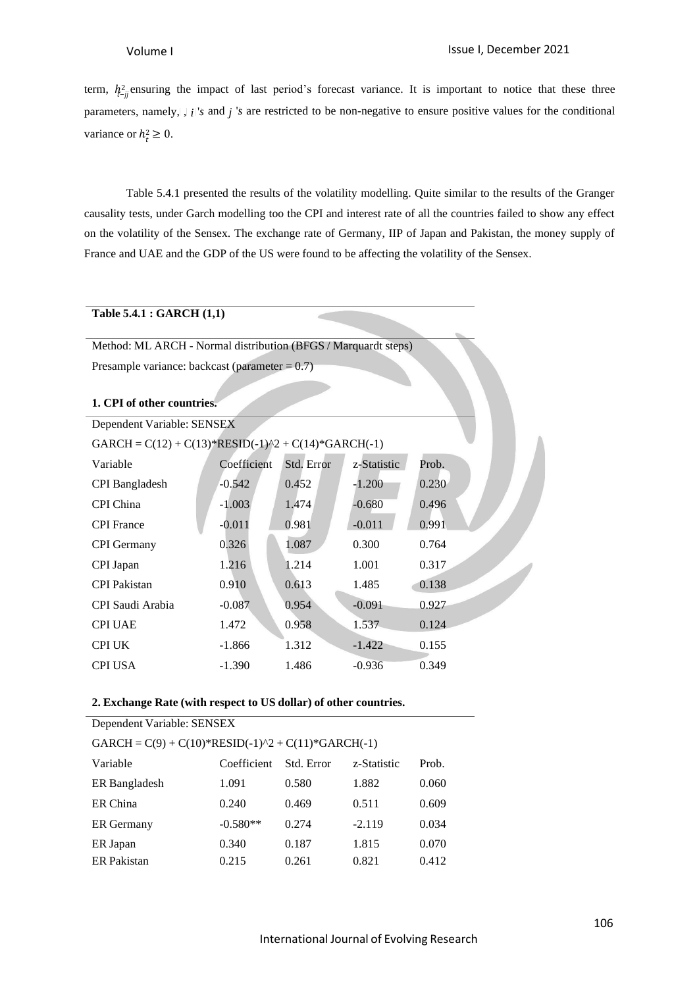variance or  $h_t^2 \geq 0$ . term,  $h_{t-i}^2$  ensuring the impact of last period's forecast variance. It is important to notice that these three parameters, namely,  $\int_{i}^{i}$  *i*  $\int_{i}^{i}$  and *j*  $\int_{i}^{i}$  are restricted to be non-negative to ensure positive values for the conditional

Table 5.4.1 presented the results of the volatility modelling. Quite similar to the results of the Granger causality tests, under Garch modelling too the CPI and interest rate of all the countries failed to show any effect on the volatility of the Sensex. The exchange rate of Germany, IIP of Japan and Pakistan, the money supply of France and UAE and the GDP of the US were found to be affecting the volatility of the Sensex.

### **Table 5.4.1 : GARCH (1,1)**

Method: ML ARCH - Normal distribution (BFGS / Marquardt steps) Presample variance: backcast (parameter  $= 0.7$ )

### **1. CPI of other countries.**

| Dependent Variable: SENSEX                            |             |            |             |       |  |
|-------------------------------------------------------|-------------|------------|-------------|-------|--|
| GARCH = $C(12) + C(13)*RESID(-1)^2 + C(14)*GARCH(-1)$ |             |            |             |       |  |
| Variable                                              | Coefficient | Std. Error | z-Statistic | Prob. |  |
| <b>CPI</b> Bangladesh                                 | $-0.542$    | 0.452      | $-1.200$    | 0.230 |  |
| CPI China                                             | $-1.003$    | 1.474      | $-0.680$    | 0.496 |  |
| <b>CPI</b> France                                     | $-0.011$    | 0.981      | $-0.011$    | 0.991 |  |
| <b>CPI</b> Germany                                    | 0.326       | 1.087      | 0.300       | 0.764 |  |
| CPI Japan                                             | 1.216       | 1.214      | 1.001       | 0.317 |  |
| <b>CPI</b> Pakistan                                   | 0.910       | 0.613      | 1.485       | 0.138 |  |
| CPI Saudi Arabia                                      | $-0.087$    | 0.954      | $-0.091$    | 0.927 |  |
| <b>CPI UAE</b>                                        | 1.472       | 0.958      | 1.537       | 0.124 |  |
| <b>CPI UK</b>                                         | $-1.866$    | 1.312      | $-1.422$    | 0.155 |  |
| <b>CPI USA</b>                                        | $-1.390$    | 1.486      | $-0.936$    | 0.349 |  |

### **2. Exchange Rate (with respect to US dollar) of other countries.**

| Dependent Variable: SENSEX                           |             |            |             |       |  |
|------------------------------------------------------|-------------|------------|-------------|-------|--|
| $GARCH = C(9) + C(10)*RESID(-1)^2 + C(11)*GARCH(-1)$ |             |            |             |       |  |
| Variable                                             | Coefficient | Std. Error | z-Statistic | Prob. |  |
| ER Bangladesh                                        | 1.091       | 0.580      | 1.882       | 0.060 |  |
| ER China                                             | 0.240       | 0.469      | 0.511       | 0.609 |  |
| <b>ER</b> Germany                                    | $-0.580**$  | 0.274      | $-2.119$    | 0.034 |  |
| ER Japan                                             | 0.340       | 0.187      | 1.815       | 0.070 |  |
| <b>ER</b> Pakistan                                   | 0.215       | 0.261      | 0.821       | 0.412 |  |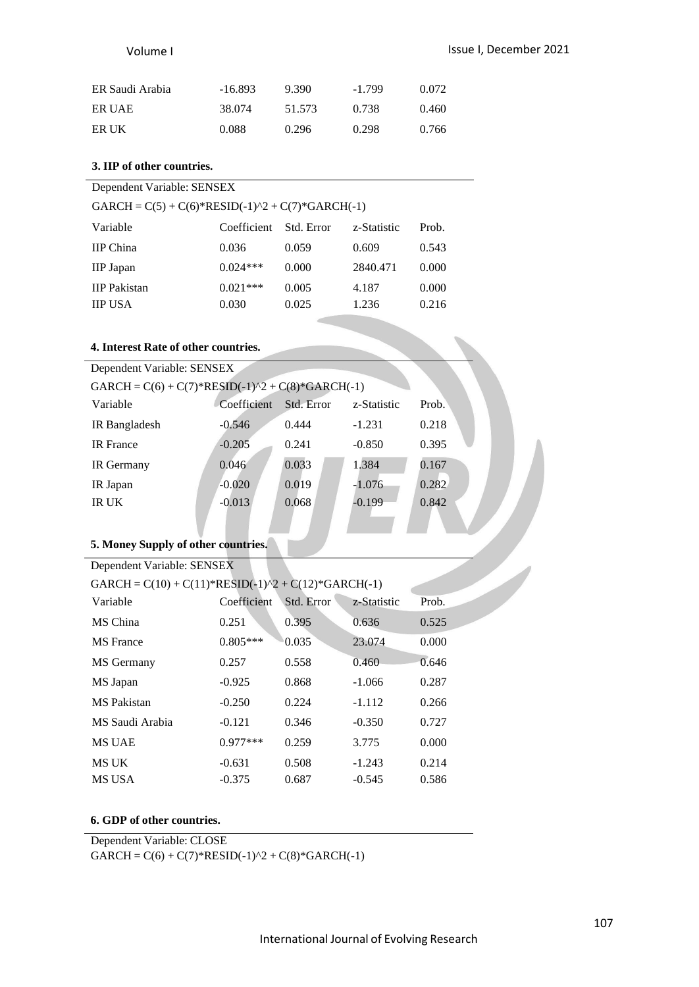| ER Saudi Arabia | -16.893 | 9.390  | $-1.799$ | 0.072 |
|-----------------|---------|--------|----------|-------|
| ER UAE          | 38.074  | 51.573 | 0.738    | 0.460 |
| ER UK           | 0.088   | 0.296  | 0.298    | 0.766 |

# **3. IIP of other countries.**

| Dependent Variable: SENSEX                             |             |            |             |       |  |
|--------------------------------------------------------|-------------|------------|-------------|-------|--|
| GARCH = $C(5) + C(6)$ *RESID(-1)^2 + $C(7)$ *GARCH(-1) |             |            |             |       |  |
| Variable                                               | Coefficient | Std. Error | z-Statistic | Prob. |  |
| <b>IIP</b> China                                       | 0.036       | 0.059      | 0.609       | 0.543 |  |
| <b>IIP</b> Japan                                       | $0.024***$  | 0.000      | 2840.471    | 0.000 |  |
| <b>IIP</b> Pakistan                                    | $0.021***$  | 0.005      | 4.187       | 0.000 |  |
| <b>IIP USA</b>                                         | 0.030       | 0.025      | 1.236       | 0.216 |  |

# **4. Interest Rate of other countries.**

| Dependent Variable: SENSEX                             |             |            |             |       |  |  |
|--------------------------------------------------------|-------------|------------|-------------|-------|--|--|
| GARCH = $C(6) + C(7)$ *RESID(-1)^2 + $C(8)$ *GARCH(-1) |             |            |             |       |  |  |
| Variable                                               | Coefficient | Std. Error | z-Statistic | Prob. |  |  |
| IR Bangladesh                                          | $-0.546$    | 0.444      | $-1.231$    | 0.218 |  |  |
| <b>IR</b> France                                       | $-0.205$    | 0.241      | $-0.850$    | 0.395 |  |  |
| IR Germany                                             | 0.046       | 0.033      | 1.384       | 0.167 |  |  |
| IR Japan                                               | $-0.020$    | 0.019      | $-1.076$    | 0.282 |  |  |
| IR UK                                                  | $-0.013$    | 0.068      | $-0.199$    | 0.842 |  |  |
|                                                        |             |            |             |       |  |  |

### **5. Money Supply of other countries.**

| Dependent Variable: SENSEX                                                                    |             |            |             |       |  |
|-----------------------------------------------------------------------------------------------|-------------|------------|-------------|-------|--|
| GARCH = $C(10) + C(11)$ <sup>*</sup> RESID(-1) <sup>^2</sup> + $C(12)$ <sup>*</sup> GARCH(-1) |             |            |             |       |  |
| Variable                                                                                      | Coefficient | Std. Error | z-Statistic | Prob. |  |
| MS China                                                                                      | 0.251       | 0.395      | 0.636       | 0.525 |  |
| <b>MS</b> France                                                                              | $0.805***$  | 0.035      | 23.074      | 0.000 |  |
| MS Germany                                                                                    | 0.257       | 0.558      | 0.460       | 0.646 |  |
| MS Japan                                                                                      | $-0.925$    | 0.868      | $-1.066$    | 0.287 |  |
| <b>MS</b> Pakistan                                                                            | $-0.250$    | 0.224      | $-1.112$    | 0.266 |  |
| MS Saudi Arabia                                                                               | $-0.121$    | 0.346      | $-0.350$    | 0.727 |  |
| <b>MS UAE</b>                                                                                 | $0.977***$  | 0.259      | 3.775       | 0.000 |  |
| <b>MS UK</b>                                                                                  | $-0.631$    | 0.508      | $-1.243$    | 0.214 |  |
| <b>MS USA</b>                                                                                 | $-0.375$    | 0.687      | $-0.545$    | 0.586 |  |

### **6. GDP of other countries.**

Dependent Variable: CLOSE

 $GARCH = C(6) + C(7) * RESID(-1)^2 + C(8) * GARCH(-1)$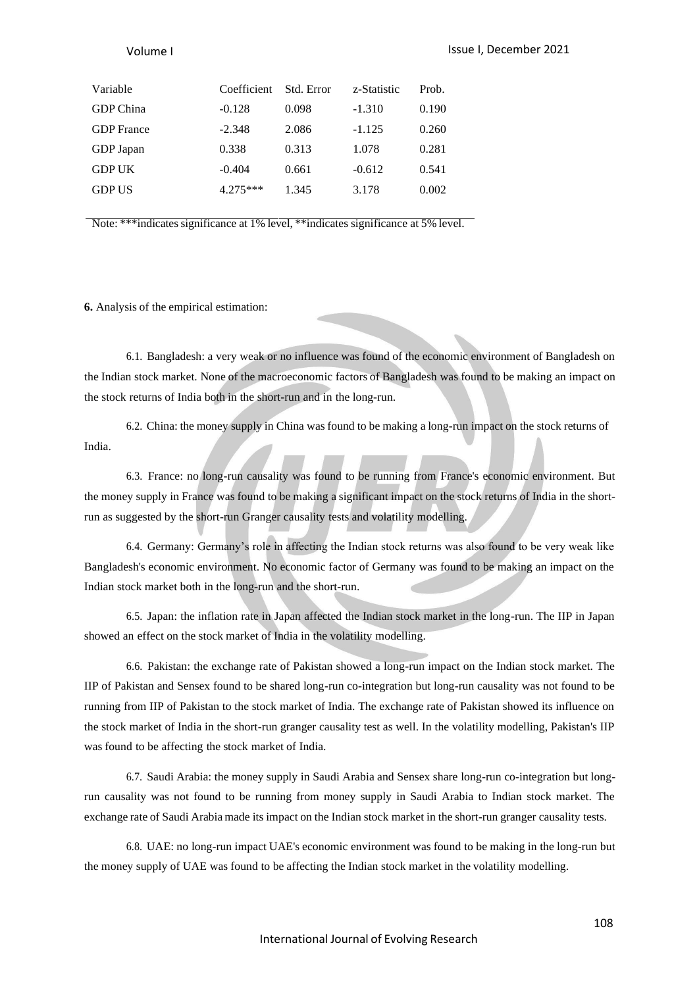| Variable          | Coefficient | Std. Error | z-Statistic | Prob. |
|-------------------|-------------|------------|-------------|-------|
| GDP China         | $-0.128$    | 0.098      | $-1.310$    | 0.190 |
| <b>GDP</b> France | $-2.348$    | 2.086      | $-1.125$    | 0.260 |
| GDP Japan         | 0.338       | 0.313      | 1.078       | 0.281 |
| <b>GDP UK</b>     | $-0.404$    | 0.661      | $-0.612$    | 0.541 |
| <b>GDP US</b>     | $4.275***$  | 1.345      | 3.178       | 0.002 |
|                   |             |            |             |       |

Note: \*\*\*indicates significance at 1% level, \*\*indicates significance at 5% level.

**6.** Analysis of the empirical estimation:

6.1. Bangladesh: a very weak or no influence was found of the economic environment of Bangladesh on the Indian stock market. None of the macroeconomic factors of Bangladesh was found to be making an impact on the stock returns of India both in the short-run and in the long-run.

6.2. China: the money supply in China was found to be making a long-run impact on the stock returns of India.

6.3. France: no long-run causality was found to be running from France's economic environment. But the money supply in France was found to be making a significant impact on the stock returns of India in the shortrun as suggested by the short-run Granger causality tests and volatility modelling.

6.4. Germany: Germany's role in affecting the Indian stock returns was also found to be very weak like Bangladesh's economic environment. No economic factor of Germany was found to be making an impact on the Indian stock market both in the long-run and the short-run.

6.5. Japan: the inflation rate in Japan affected the Indian stock market in the long-run. The IIP in Japan showed an effect on the stock market of India in the volatility modelling.

6.6. Pakistan: the exchange rate of Pakistan showed a long-run impact on the Indian stock market. The IIP of Pakistan and Sensex found to be shared long-run co-integration but long-run causality was not found to be running from IIP of Pakistan to the stock market of India. The exchange rate of Pakistan showed its influence on the stock market of India in the short-run granger causality test as well. In the volatility modelling, Pakistan's IIP was found to be affecting the stock market of India.

6.7. Saudi Arabia: the money supply in Saudi Arabia and Sensex share long-run co-integration but longrun causality was not found to be running from money supply in Saudi Arabia to Indian stock market. The exchange rate of Saudi Arabia made its impact on the Indian stock market in the short-run granger causality tests.

6.8. UAE: no long-run impact UAE's economic environment was found to be making in the long-run but the money supply of UAE was found to be affecting the Indian stock market in the volatility modelling.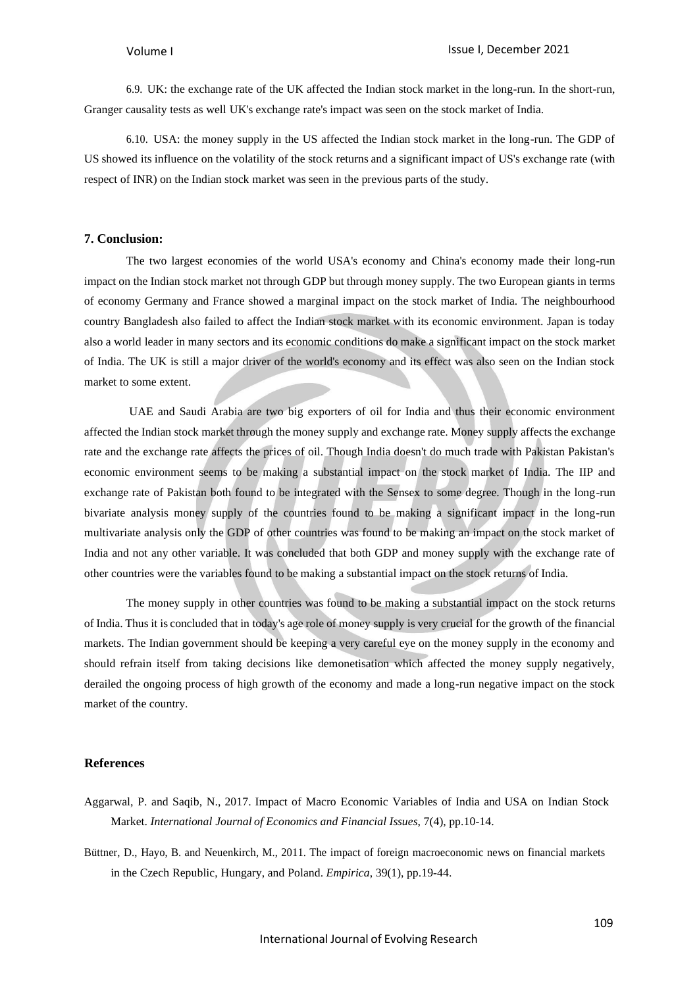6.9. UK: the exchange rate of the UK affected the Indian stock market in the long-run. In the short-run, Granger causality tests as well UK's exchange rate's impact was seen on the stock market of India.

6.10. USA: the money supply in the US affected the Indian stock market in the long-run. The GDP of US showed its influence on the volatility of the stock returns and a significant impact of US's exchange rate (with respect of INR) on the Indian stock market was seen in the previous parts of the study.

### **7. Conclusion:**

The two largest economies of the world USA's economy and China's economy made their long-run impact on the Indian stock market not through GDP but through money supply. The two European giants in terms of economy Germany and France showed a marginal impact on the stock market of India. The neighbourhood country Bangladesh also failed to affect the Indian stock market with its economic environment. Japan is today also a world leader in many sectors and its economic conditions do make a significant impact on the stock market of India. The UK is still a major driver of the world's economy and its effect was also seen on the Indian stock market to some extent.

UAE and Saudi Arabia are two big exporters of oil for India and thus their economic environment affected the Indian stock market through the money supply and exchange rate. Money supply affects the exchange rate and the exchange rate affects the prices of oil. Though India doesn't do much trade with Pakistan Pakistan's economic environment seems to be making a substantial impact on the stock market of India. The IIP and exchange rate of Pakistan both found to be integrated with the Sensex to some degree. Though in the long-run bivariate analysis money supply of the countries found to be making a significant impact in the long-run multivariate analysis only the GDP of other countries was found to be making an impact on the stock market of India and not any other variable. It was concluded that both GDP and money supply with the exchange rate of other countries were the variables found to be making a substantial impact on the stock returns of India.

The money supply in other countries was found to be making a substantial impact on the stock returns of India. Thus it is concluded that in today's age role of money supply is very crucial for the growth of the financial markets. The Indian government should be keeping a very careful eye on the money supply in the economy and should refrain itself from taking decisions like demonetisation which affected the money supply negatively, derailed the ongoing process of high growth of the economy and made a long-run negative impact on the stock market of the country.

### **References**

- Aggarwal, P. and Saqib, N., 2017. Impact of Macro Economic Variables of India and USA on Indian Stock Market. *International Journal of Economics and Financial Issues*, 7(4), pp.10-14.
- Büttner, D., Hayo, B. and Neuenkirch, M., 2011. The impact of foreign macroeconomic news on financial markets in the Czech Republic, Hungary, and Poland. *Empirica*, 39(1), pp.19-44.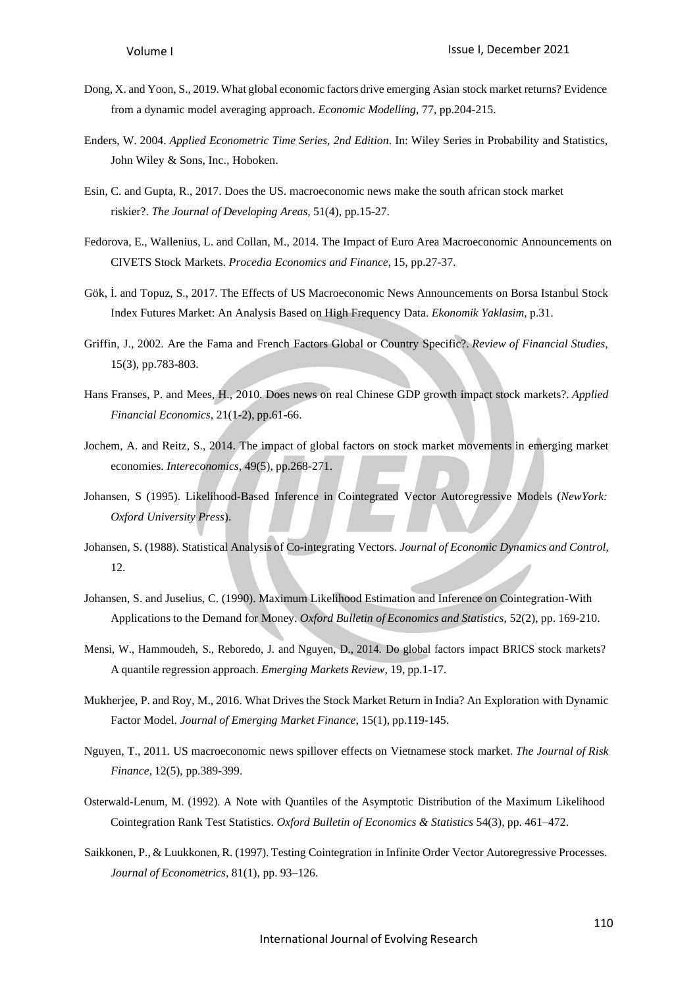- Dong, X. and Yoon, S., 2019. What global economic factors drive emerging Asian stock market returns? Evidence from a dynamic model averaging approach. *Economic Modelling*, 77, pp.204-215.
- Enders, W. 2004. *Applied Econometric Time Series, 2nd Edition*. In: Wiley Series in Probability and Statistics, John Wiley & Sons, Inc., Hoboken.
- Esin, C. and Gupta, R., 2017. Does the US. macroeconomic news make the south african stock market riskier?. *The Journal of Developing Areas*, 51(4), pp.15-27.
- Fedorova, E., Wallenius, L. and Collan, M., 2014. The Impact of Euro Area Macroeconomic Announcements on CIVETS Stock Markets. *Procedia Economics and Finance*, 15, pp.27-37.
- Gök, İ. and Topuz, S., 2017. The Effects of US Macroeconomic News Announcements on Borsa Istanbul Stock Index Futures Market: An Analysis Based on High Frequency Data. *Ekonomik Yaklasim*, p.31.
- Griffin, J., 2002. Are the Fama and French Factors Global or Country Specific?. *Review of Financial Studies*, 15(3), pp.783-803.
- Hans Franses, P. and Mees, H., 2010. Does news on real Chinese GDP growth impact stock markets?. *Applied Financial Economics*, 21(1-2), pp.61-66.
- Jochem, A. and Reitz, S., 2014. The impact of global factors on stock market movements in emerging market economies. *Intereconomics*, 49(5), pp.268-271.
- Johansen, S (1995). Likelihood-Based Inference in Cointegrated Vector Autoregressive Models (*NewYork: Oxford University Press*).
- Johansen, S. (1988). Statistical Analysis of Co-integrating Vectors. *Journal of Economic Dynamics and Control,* 12.
- Johansen, S. and Juselius, C. (1990). Maximum Likelihood Estimation and Inference on Cointegration-With Applications to the Demand for Money. *Oxford Bulletin of Economics and Statistics*, 52(2), pp. 169-210.
- Mensi, W., Hammoudeh, S., Reboredo, J. and Nguyen, D., 2014. Do global factors impact BRICS stock markets? A quantile regression approach. *Emerging Markets Review*, 19, pp.1-17.
- Mukherjee, P. and Roy, M., 2016. What Drives the Stock Market Return in India? An Exploration with Dynamic Factor Model. *Journal of Emerging Market Finance*, 15(1), pp.119-145.
- Nguyen, T., 2011. US macroeconomic news spillover effects on Vietnamese stock market. *The Journal of Risk Finance*, 12(5), pp.389-399.
- Osterwald-Lenum, M. (1992). A Note with Quantiles of the Asymptotic Distribution of the Maximum Likelihood Cointegration Rank Test Statistics. *Oxford Bulletin of Economics & Statistics* 54(3), pp. 461–472.
- Saikkonen, P., & Luukkonen, R. (1997). Testing Cointegration in Infinite Order Vector Autoregressive Processes. *Journal of Econometrics*, 81(1), pp. 93–126.